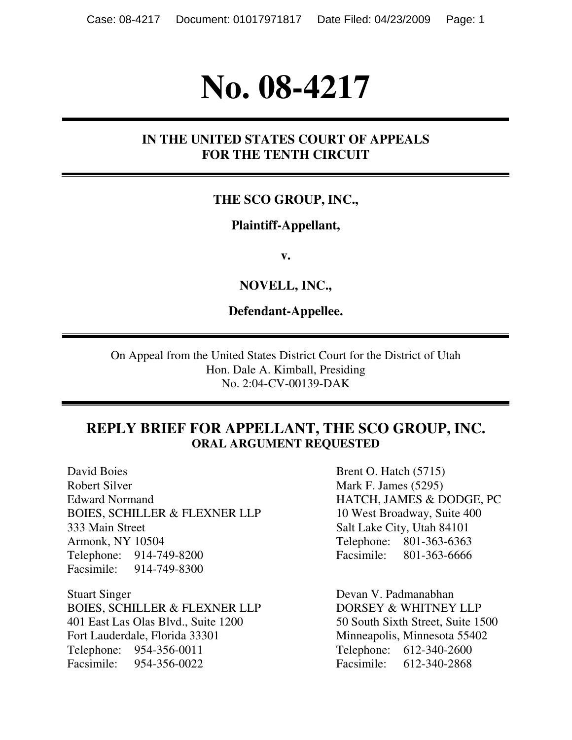# **No. 08-4217**

#### **IN THE UNITED STATES COURT OF APPEALS FOR THE TENTH CIRCUIT**

#### **THE SCO GROUP, INC.,**

#### **Plaintiff-Appellant,**

**v.** 

**NOVELL, INC.,** 

**Defendant-Appellee.** 

On Appeal from the United States District Court for the District of Utah Hon. Dale A. Kimball, Presiding No. 2:04-CV-00139-DAK

#### **REPLY BRIEF FOR APPELLANT, THE SCO GROUP, INC. ORAL ARGUMENT REQUESTED**

David Boies Brent O. Hatch (5715) Robert Silver Mark F. James (5295) Edward Normand HATCH, JAMES & DODGE, PC BOIES, SCHILLER & FLEXNER LLP 10 West Broadway, Suite 400 333 Main Street Salt Lake City, Utah 84101 Armonk, NY 10504 Telephone: 801-363-6363 Telephone: 914-749-8200 Facsimile: 801-363-6666 Facsimile: 914-749-8300

Stuart Singer Devan V. Padmanabhan BOIES, SCHILLER & FLEXNER LLP DORSEY & WHITNEY LLP 401 East Las Olas Blvd., Suite 1200 50 South Sixth Street, Suite 1500 Fort Lauderdale, Florida 33301 Minneapolis, Minnesota 55402 Telephone: 954-356-0011 Telephone: 612-340-2600 Facsimile: 954-356-0022 Facsimile: 612-340-2868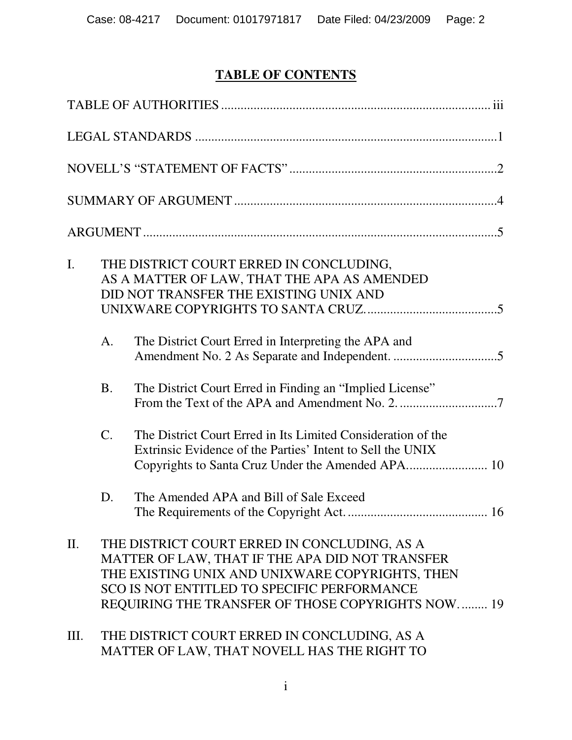## **TABLE OF CONTENTS**

| $\mathbf{I}$ . |           | THE DISTRICT COURT ERRED IN CONCLUDING,<br>AS A MATTER OF LAW, THAT THE APA AS AMENDED<br>DID NOT TRANSFER THE EXISTING UNIX AND                                                                                                                       |
|----------------|-----------|--------------------------------------------------------------------------------------------------------------------------------------------------------------------------------------------------------------------------------------------------------|
|                | A.        | The District Court Erred in Interpreting the APA and                                                                                                                                                                                                   |
|                | <b>B.</b> | The District Court Erred in Finding an "Implied License"                                                                                                                                                                                               |
|                | $C$ .     | The District Court Erred in Its Limited Consideration of the<br>Extrinsic Evidence of the Parties' Intent to Sell the UNIX<br>Copyrights to Santa Cruz Under the Amended APA 10                                                                        |
|                | D.        | The Amended APA and Bill of Sale Exceed                                                                                                                                                                                                                |
| П.             |           | THE DISTRICT COURT ERRED IN CONCLUDING, AS A<br>MATTER OF LAW, THAT IF THE APA DID NOT TRANSFER<br>THE EXISTING UNIX AND UNIXWARE COPYRIGHTS, THEN<br>SCO IS NOT ENTITLED TO SPECIFIC PERFORMANCE<br>REQUIRING THE TRANSFER OF THOSE COPYRIGHTS NOW 19 |
| Ш.             |           | THE DISTRICT COURT ERRED IN CONCLUDING, AS A<br>MATTER OF LAW, THAT NOVELL HAS THE RIGHT TO                                                                                                                                                            |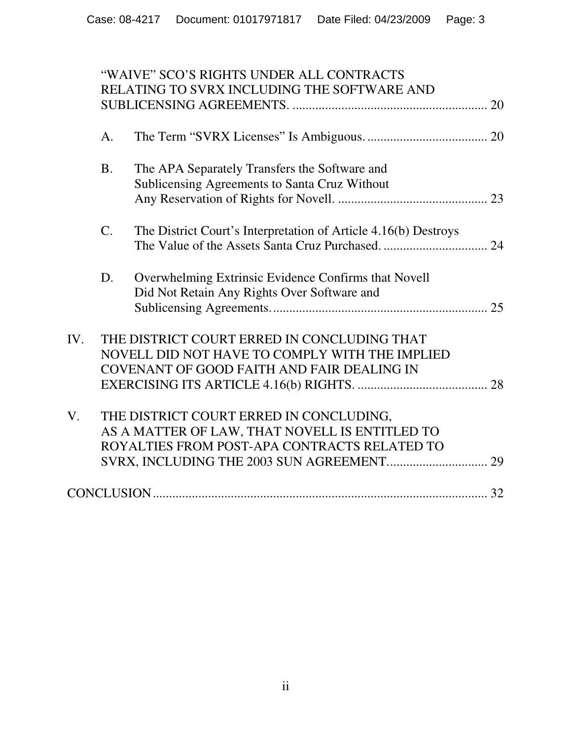|     |           | "WAIVE" SCO'S RIGHTS UNDER ALL CONTRACTS                        |  |
|-----|-----------|-----------------------------------------------------------------|--|
|     |           | RELATING TO SVRX INCLUDING THE SOFTWARE AND                     |  |
|     |           |                                                                 |  |
|     | A.        |                                                                 |  |
|     | <b>B.</b> | The APA Separately Transfers the Software and                   |  |
|     |           | Sublicensing Agreements to Santa Cruz Without                   |  |
|     |           |                                                                 |  |
|     | C.        | The District Court's Interpretation of Article 4.16(b) Destroys |  |
|     |           |                                                                 |  |
|     | D.        | Overwhelming Extrinsic Evidence Confirms that Novell            |  |
|     |           | Did Not Retain Any Rights Over Software and                     |  |
|     |           |                                                                 |  |
| IV. |           | THE DISTRICT COURT ERRED IN CONCLUDING THAT                     |  |
|     |           | NOVELL DID NOT HAVE TO COMPLY WITH THE IMPLIED                  |  |
|     |           | <b>COVENANT OF GOOD FAITH AND FAIR DEALING IN</b>               |  |
|     |           |                                                                 |  |
| V.  |           | THE DISTRICT COURT ERRED IN CONCLUDING,                         |  |
|     |           | AS A MATTER OF LAW, THAT NOVELL IS ENTITLED TO                  |  |
|     |           | ROYALTIES FROM POST-APA CONTRACTS RELATED TO                    |  |
|     |           |                                                                 |  |
|     |           |                                                                 |  |
|     |           |                                                                 |  |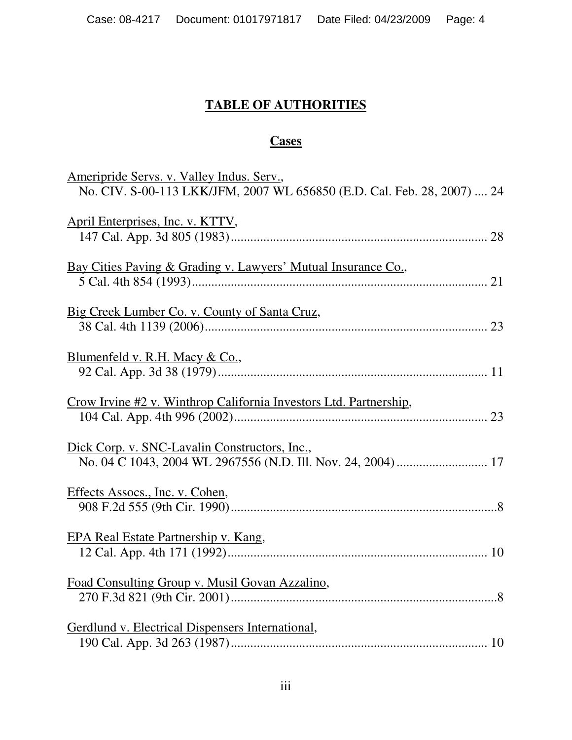## **TABLE OF AUTHORITIES**

## **Cases**

| Ameripride Servs. v. Valley Indus. Serv.,<br>No. CIV. S-00-113 LKK/JFM, 2007 WL 656850 (E.D. Cal. Feb. 28, 2007)  24 |
|----------------------------------------------------------------------------------------------------------------------|
| April Enterprises, Inc. v. KTTV,                                                                                     |
| Bay Cities Paving & Grading v. Lawyers' Mutual Insurance Co.,                                                        |
| Big Creek Lumber Co. v. County of Santa Cruz,                                                                        |
| Blumenfeld v. R.H. Macy & Co.,                                                                                       |
| Crow Irvine #2 v. Winthrop California Investors Ltd. Partnership,                                                    |
| Dick Corp. v. SNC-Lavalin Constructors, Inc.,                                                                        |
| Effects Assocs., Inc. v. Cohen,                                                                                      |
| EPA Real Estate Partnership v. Kang,                                                                                 |
| Foad Consulting Group v. Musil Govan Azzalino,                                                                       |
| Gerdlund v. Electrical Dispensers International,                                                                     |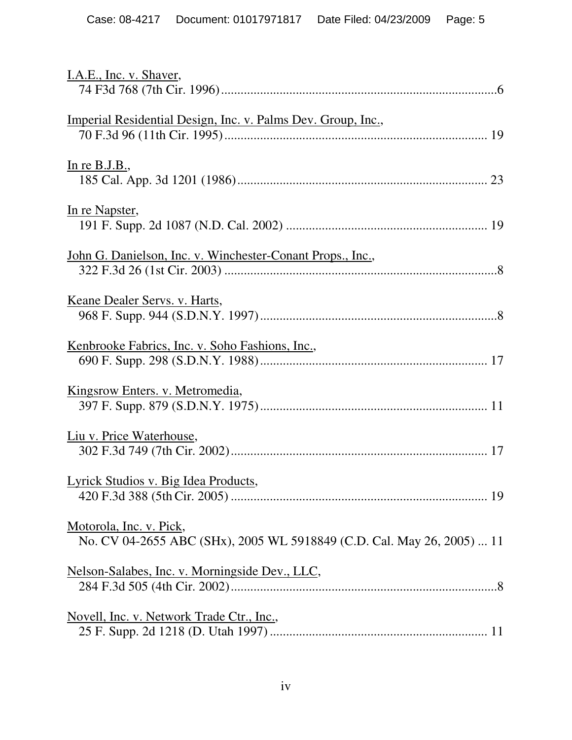| I.A.E., Inc. v. Shaver,                                                                           |
|---------------------------------------------------------------------------------------------------|
|                                                                                                   |
| Imperial Residential Design, Inc. v. Palms Dev. Group, Inc.,                                      |
|                                                                                                   |
|                                                                                                   |
| In re B.J.B.,                                                                                     |
|                                                                                                   |
| In re Napster,                                                                                    |
|                                                                                                   |
| John G. Danielson, Inc. v. Winchester-Conant Props., Inc.,                                        |
|                                                                                                   |
|                                                                                                   |
| Keane Dealer Servs. v. Harts,                                                                     |
|                                                                                                   |
| Kenbrooke Fabrics, Inc. v. Soho Fashions, Inc.,                                                   |
|                                                                                                   |
| Kingsrow Enters. v. Metromedia,                                                                   |
|                                                                                                   |
|                                                                                                   |
| Liu v. Price Waterhouse,                                                                          |
|                                                                                                   |
| Lyrick Studios v. Big Idea Products,                                                              |
|                                                                                                   |
|                                                                                                   |
| Motorola, Inc. v. Pick,<br>No. CV 04-2655 ABC (SHx), 2005 WL 5918849 (C.D. Cal. May 26, 2005)  11 |
|                                                                                                   |
| Nelson-Salabes, Inc. v. Morningside Dev., LLC,                                                    |
|                                                                                                   |
| <u>Novell, Inc. v. Network Trade Ctr., Inc.,</u>                                                  |
|                                                                                                   |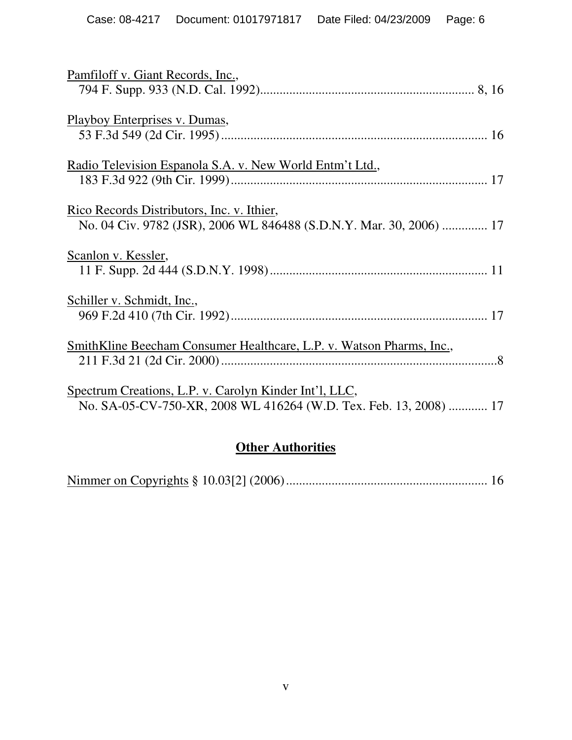| Pamfiloff v. Giant Records, Inc.,                                                                                                  |
|------------------------------------------------------------------------------------------------------------------------------------|
| Playboy Enterprises v. Dumas,                                                                                                      |
| Radio Television Espanola S.A. v. New World Entm't Ltd.,                                                                           |
| Rico Records Distributors, Inc. v. Ithier,<br>No. 04 Civ. 9782 (JSR), 2006 WL 846488 (S.D.N.Y. Mar. 30, 2006)  17                  |
| Scanlon v. Kessler,                                                                                                                |
| Schiller v. Schmidt, Inc.,                                                                                                         |
| <u>SmithKline Beecham Consumer Healthcare, L.P. v. Watson Pharms, Inc.,</u>                                                        |
| <u>Spectrum Creations, L.P. v. Carolyn Kinder Int'l, LLC,</u><br>No. SA-05-CV-750-XR, 2008 WL 416264 (W.D. Tex. Feb. 13, 2008)  17 |

## **Other Authorities**

|--|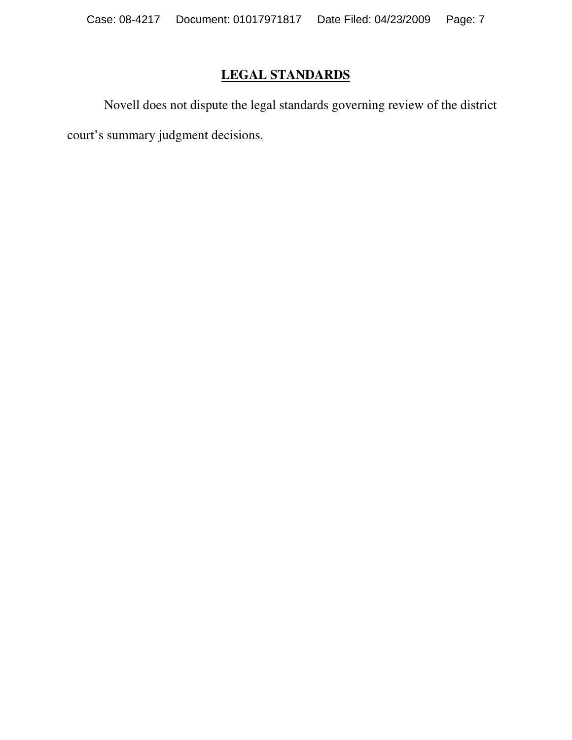## **LEGAL STANDARDS**

 Novell does not dispute the legal standards governing review of the district court's summary judgment decisions.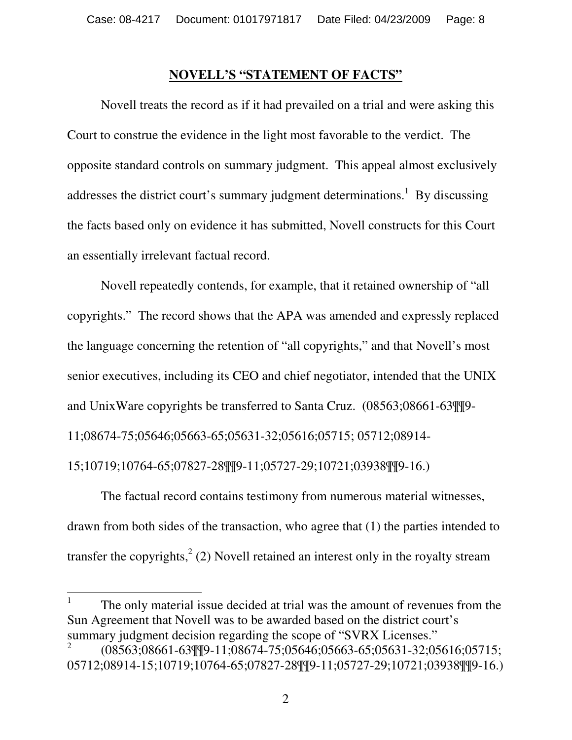#### **NOVELL'S "STATEMENT OF FACTS"**

Novell treats the record as if it had prevailed on a trial and were asking this Court to construe the evidence in the light most favorable to the verdict. The opposite standard controls on summary judgment. This appeal almost exclusively addresses the district court's summary judgment determinations.<sup>1</sup> By discussing the facts based only on evidence it has submitted, Novell constructs for this Court an essentially irrelevant factual record.

Novell repeatedly contends, for example, that it retained ownership of "all copyrights." The record shows that the APA was amended and expressly replaced the language concerning the retention of "all copyrights," and that Novell's most senior executives, including its CEO and chief negotiator, intended that the UNIX and UnixWare copyrights be transferred to Santa Cruz. (08563;08661-63¶¶9- 11;08674-75;05646;05663-65;05631-32;05616;05715; 05712;08914- 15;10719;10764-65;07827-28¶¶9-11;05727-29;10721;03938¶¶9-16.)

The factual record contains testimony from numerous material witnesses, drawn from both sides of the transaction, who agree that (1) the parties intended to transfer the copyrights,  $2$  (2) Novell retained an interest only in the royalty stream

1 The only material issue decided at trial was the amount of revenues from the Sun Agreement that Novell was to be awarded based on the district court's summary judgment decision regarding the scope of "SVRX Licenses."

 $\overline{a}$ 

<sup>2</sup> (08563;08661-63¶¶9-11;08674-75;05646;05663-65;05631-32;05616;05715; 05712;08914-15;10719;10764-65;07827-28¶¶9-11;05727-29;10721;03938¶¶9-16.)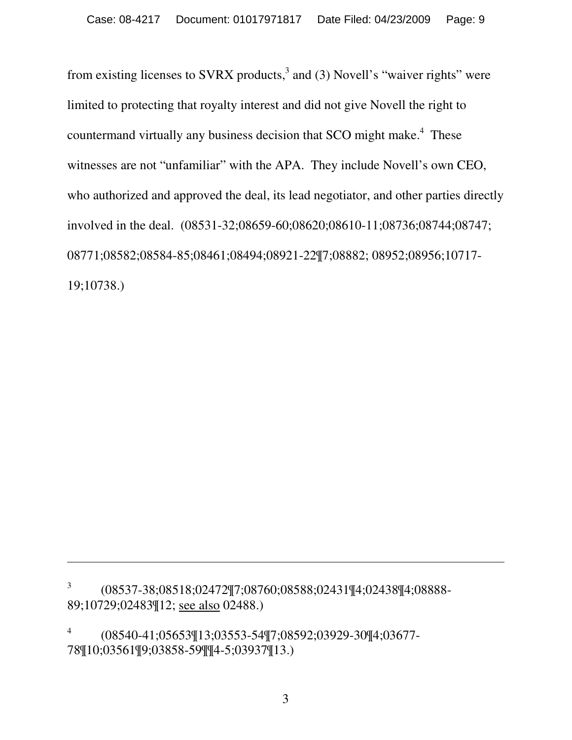from existing licenses to SVRX products, $3$  and (3) Novell's "waiver rights" were limited to protecting that royalty interest and did not give Novell the right to countermand virtually any business decision that SCO might make.<sup>4</sup> These witnesses are not "unfamiliar" with the APA. They include Novell's own CEO, who authorized and approved the deal, its lead negotiator, and other parties directly involved in the deal. (08531-32;08659-60;08620;08610-11;08736;08744;08747; 08771;08582;08584-85;08461;08494;08921-22¶7;08882; 08952;08956;10717- 19;10738.)

4 (08540-41;05653¶13;03553-54¶7;08592;03929-30¶4;03677- 78¶10;03561¶9;03858-59¶¶4-5;03937¶13.)

 $\overline{a}$ 

<sup>3</sup> (08537-38;08518;02472¶7;08760;08588;02431¶4;02438¶4;08888- 89;10729;02483¶12; see also 02488.)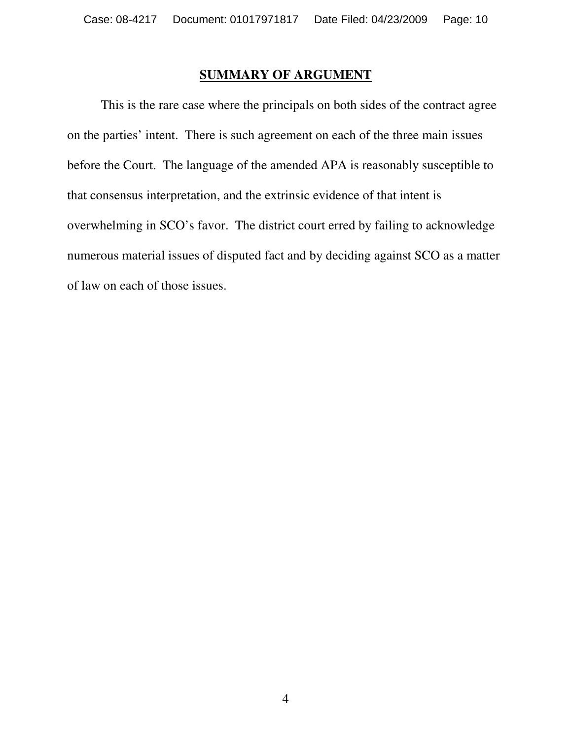#### **SUMMARY OF ARGUMENT**

 This is the rare case where the principals on both sides of the contract agree on the parties' intent. There is such agreement on each of the three main issues before the Court. The language of the amended APA is reasonably susceptible to that consensus interpretation, and the extrinsic evidence of that intent is overwhelming in SCO's favor. The district court erred by failing to acknowledge numerous material issues of disputed fact and by deciding against SCO as a matter of law on each of those issues.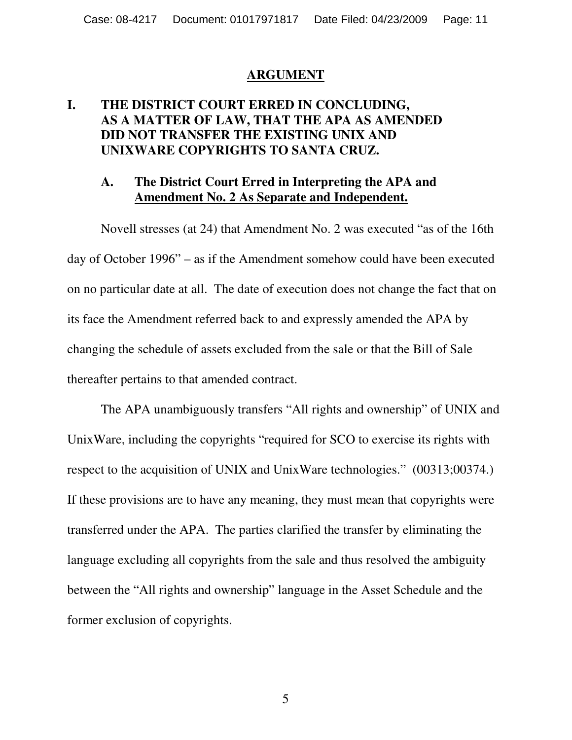#### **ARGUMENT**

#### **I. THE DISTRICT COURT ERRED IN CONCLUDING, AS A MATTER OF LAW, THAT THE APA AS AMENDED DID NOT TRANSFER THE EXISTING UNIX AND UNIXWARE COPYRIGHTS TO SANTA CRUZ.**

#### **A. The District Court Erred in Interpreting the APA and Amendment No. 2 As Separate and Independent.**

 Novell stresses (at 24) that Amendment No. 2 was executed "as of the 16th day of October 1996" – as if the Amendment somehow could have been executed on no particular date at all. The date of execution does not change the fact that on its face the Amendment referred back to and expressly amended the APA by changing the schedule of assets excluded from the sale or that the Bill of Sale thereafter pertains to that amended contract.

The APA unambiguously transfers "All rights and ownership" of UNIX and UnixWare, including the copyrights "required for SCO to exercise its rights with respect to the acquisition of UNIX and UnixWare technologies." (00313;00374.) If these provisions are to have any meaning, they must mean that copyrights were transferred under the APA. The parties clarified the transfer by eliminating the language excluding all copyrights from the sale and thus resolved the ambiguity between the "All rights and ownership" language in the Asset Schedule and the former exclusion of copyrights.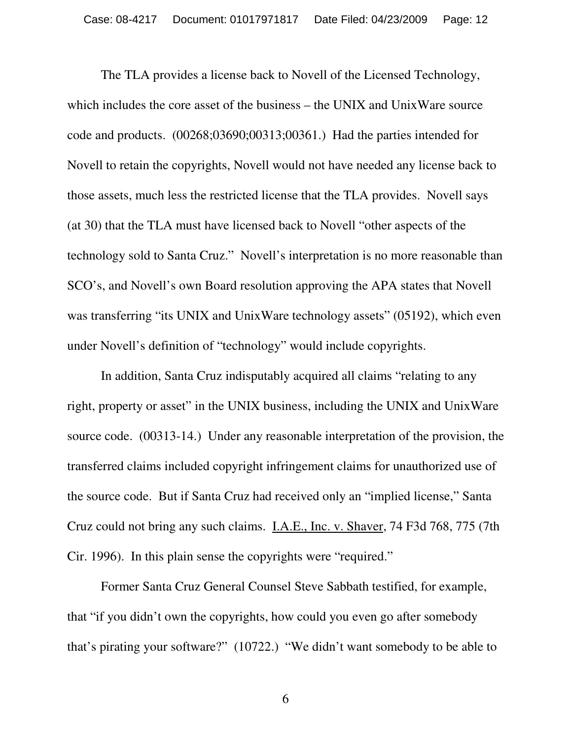The TLA provides a license back to Novell of the Licensed Technology, which includes the core asset of the business – the UNIX and UnixWare source code and products. (00268;03690;00313;00361.) Had the parties intended for Novell to retain the copyrights, Novell would not have needed any license back to those assets, much less the restricted license that the TLA provides. Novell says (at 30) that the TLA must have licensed back to Novell "other aspects of the technology sold to Santa Cruz." Novell's interpretation is no more reasonable than SCO's, and Novell's own Board resolution approving the APA states that Novell was transferring "its UNIX and UnixWare technology assets" (05192), which even under Novell's definition of "technology" would include copyrights.

 In addition, Santa Cruz indisputably acquired all claims "relating to any right, property or asset" in the UNIX business, including the UNIX and UnixWare source code. (00313-14.) Under any reasonable interpretation of the provision, the transferred claims included copyright infringement claims for unauthorized use of the source code. But if Santa Cruz had received only an "implied license," Santa Cruz could not bring any such claims. I.A.E., Inc. v. Shaver, 74 F3d 768, 775 (7th Cir. 1996). In this plain sense the copyrights were "required."

Former Santa Cruz General Counsel Steve Sabbath testified, for example, that "if you didn't own the copyrights, how could you even go after somebody that's pirating your software?" (10722.) "We didn't want somebody to be able to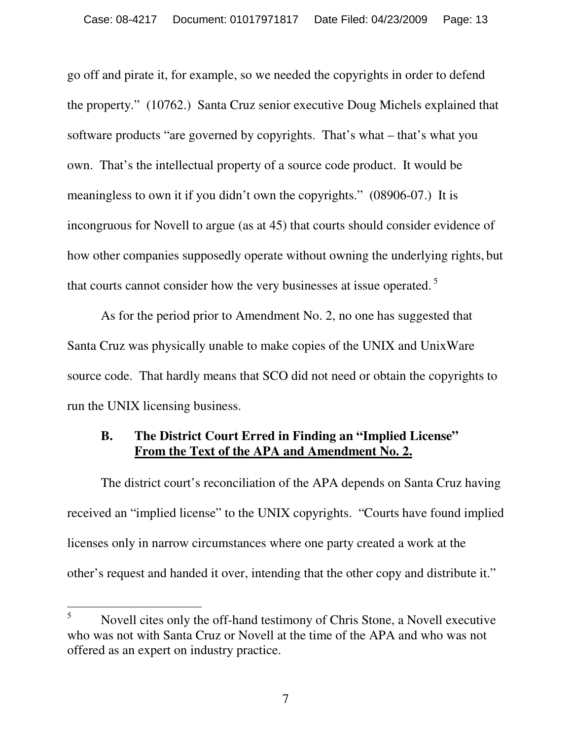go off and pirate it, for example, so we needed the copyrights in order to defend the property." (10762.) Santa Cruz senior executive Doug Michels explained that software products "are governed by copyrights. That's what – that's what you own. That's the intellectual property of a source code product. It would be meaningless to own it if you didn't own the copyrights." (08906-07.) It is incongruous for Novell to argue (as at 45) that courts should consider evidence of how other companies supposedly operate without owning the underlying rights, but that courts cannot consider how the very businesses at issue operated.<sup>5</sup>

As for the period prior to Amendment No. 2, no one has suggested that Santa Cruz was physically unable to make copies of the UNIX and UnixWare source code. That hardly means that SCO did not need or obtain the copyrights to run the UNIX licensing business.

#### **B. The District Court Erred in Finding an "Implied License" From the Text of the APA and Amendment No. 2.**

The district court's reconciliation of the APA depends on Santa Cruz having received an "implied license" to the UNIX copyrights. "Courts have found implied licenses only in narrow circumstances where one party created a work at the other's request and handed it over, intending that the other copy and distribute it."

 $\overline{a}$ 

<sup>5</sup> Novell cites only the off-hand testimony of Chris Stone, a Novell executive who was not with Santa Cruz or Novell at the time of the APA and who was not offered as an expert on industry practice.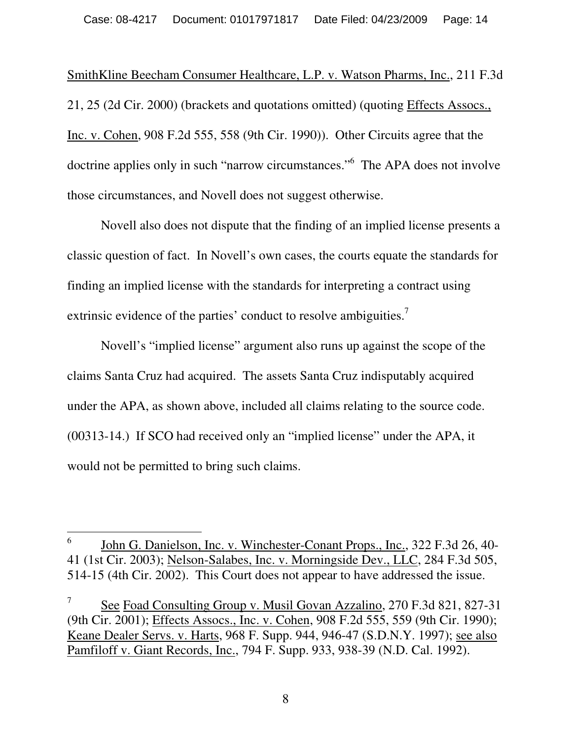SmithKline Beecham Consumer Healthcare, L.P. v. Watson Pharms, Inc., 211 F.3d 21, 25 (2d Cir. 2000) (brackets and quotations omitted) (quoting Effects Assocs., Inc. v. Cohen, 908 F.2d 555, 558 (9th Cir. 1990)). Other Circuits agree that the doctrine applies only in such "narrow circumstances." The APA does not involve those circumstances, and Novell does not suggest otherwise.

 Novell also does not dispute that the finding of an implied license presents a classic question of fact. In Novell's own cases, the courts equate the standards for finding an implied license with the standards for interpreting a contract using extrinsic evidence of the parties' conduct to resolve ambiguities.<sup>7</sup>

 Novell's "implied license" argument also runs up against the scope of the claims Santa Cruz had acquired. The assets Santa Cruz indisputably acquired under the APA, as shown above, included all claims relating to the source code. (00313-14.) If SCO had received only an "implied license" under the APA, it would not be permitted to bring such claims.

 $\overline{a}$ 

<sup>6</sup> John G. Danielson, Inc. v. Winchester-Conant Props., Inc., 322 F.3d 26, 40- 41 (1st Cir. 2003); Nelson-Salabes, Inc. v. Morningside Dev., LLC, 284 F.3d 505, 514-15 (4th Cir. 2002). This Court does not appear to have addressed the issue.

<sup>7</sup> See Foad Consulting Group v. Musil Govan Azzalino, 270 F.3d 821, 827-31 (9th Cir. 2001); Effects Assocs., Inc. v. Cohen, 908 F.2d 555, 559 (9th Cir. 1990); Keane Dealer Servs. v. Harts, 968 F. Supp. 944, 946-47 (S.D.N.Y. 1997); see also Pamfiloff v. Giant Records, Inc., 794 F. Supp. 933, 938-39 (N.D. Cal. 1992).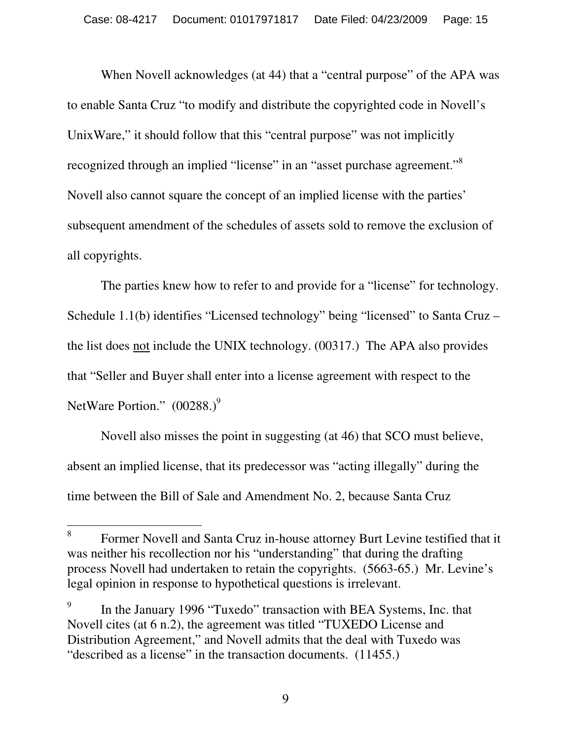When Novell acknowledges (at 44) that a "central purpose" of the APA was to enable Santa Cruz "to modify and distribute the copyrighted code in Novell's UnixWare," it should follow that this "central purpose" was not implicitly recognized through an implied "license" in an "asset purchase agreement."<sup>8</sup> Novell also cannot square the concept of an implied license with the parties' subsequent amendment of the schedules of assets sold to remove the exclusion of all copyrights.

The parties knew how to refer to and provide for a "license" for technology. Schedule 1.1(b) identifies "Licensed technology" being "licensed" to Santa Cruz – the list does not include the UNIX technology. (00317.) The APA also provides that "Seller and Buyer shall enter into a license agreement with respect to the NetWare Portion."  $(00288.)^9$ 

 Novell also misses the point in suggesting (at 46) that SCO must believe, absent an implied license, that its predecessor was "acting illegally" during the time between the Bill of Sale and Amendment No. 2, because Santa Cruz

 $\overline{a}$ 

<sup>8</sup> Former Novell and Santa Cruz in-house attorney Burt Levine testified that it was neither his recollection nor his "understanding" that during the drafting process Novell had undertaken to retain the copyrights. (5663-65.) Mr. Levine's legal opinion in response to hypothetical questions is irrelevant.

<sup>9</sup> In the January 1996 "Tuxedo" transaction with BEA Systems, Inc. that Novell cites (at 6 n.2), the agreement was titled "TUXEDO License and Distribution Agreement," and Novell admits that the deal with Tuxedo was "described as a license" in the transaction documents. (11455.)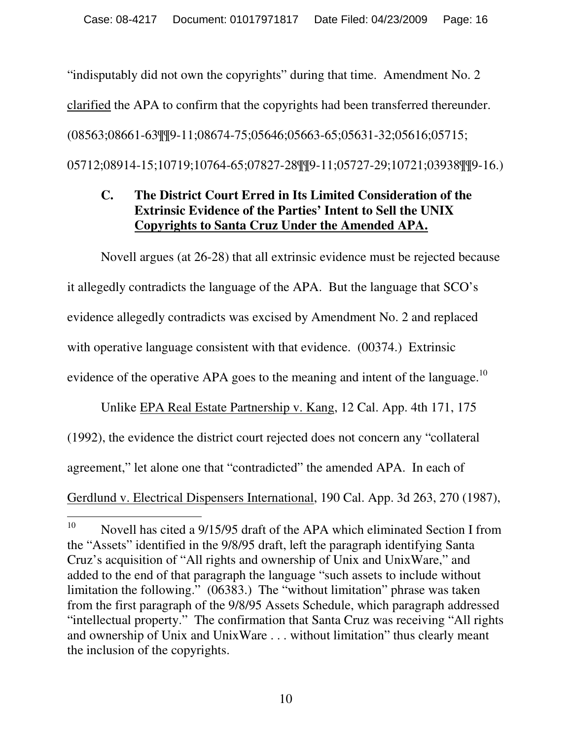"indisputably did not own the copyrights" during that time. Amendment No. 2 clarified the APA to confirm that the copyrights had been transferred thereunder. (08563;08661-63¶¶9-11;08674-75;05646;05663-65;05631-32;05616;05715; 05712;08914-15;10719;10764-65;07827-28¶¶9-11;05727-29;10721;03938¶¶9-16.)

#### **C. The District Court Erred in Its Limited Consideration of the Extrinsic Evidence of the Parties' Intent to Sell the UNIX Copyrights to Santa Cruz Under the Amended APA.**

Novell argues (at 26-28) that all extrinsic evidence must be rejected because it allegedly contradicts the language of the APA. But the language that SCO's evidence allegedly contradicts was excised by Amendment No. 2 and replaced with operative language consistent with that evidence. (00374.) Extrinsic evidence of the operative APA goes to the meaning and intent of the language.<sup>10</sup>

Unlike EPA Real Estate Partnership v. Kang, 12 Cal. App. 4th 171, 175 (1992), the evidence the district court rejected does not concern any "collateral agreement," let alone one that "contradicted" the amended APA. In each of Gerdlund v. Electrical Dispensers International, 190 Cal. App. 3d 263, 270 (1987),

<sup>10</sup> Novell has cited a 9/15/95 draft of the APA which eliminated Section I from the "Assets" identified in the 9/8/95 draft, left the paragraph identifying Santa Cruz's acquisition of "All rights and ownership of Unix and UnixWare," and added to the end of that paragraph the language "such assets to include without limitation the following." (06383.) The "without limitation" phrase was taken from the first paragraph of the 9/8/95 Assets Schedule, which paragraph addressed "intellectual property." The confirmation that Santa Cruz was receiving "All rights and ownership of Unix and UnixWare . . . without limitation" thus clearly meant the inclusion of the copyrights.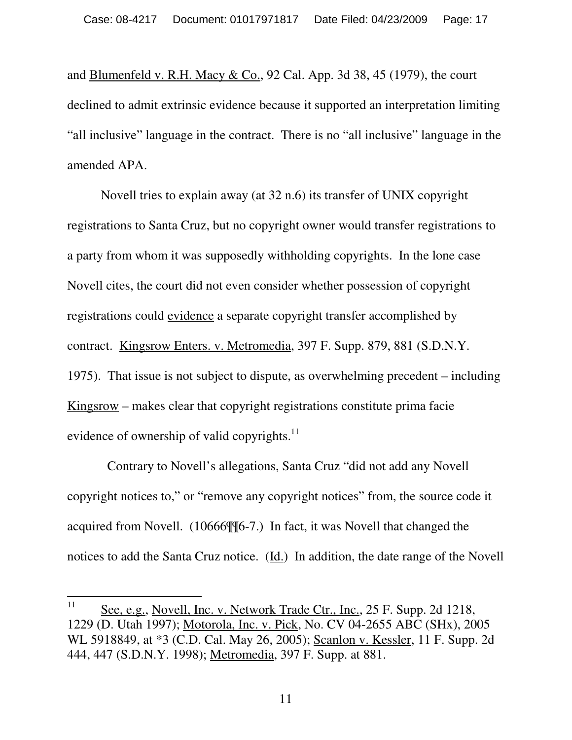and Blumenfeld v. R.H. Macy & Co., 92 Cal. App. 3d 38, 45 (1979), the court declined to admit extrinsic evidence because it supported an interpretation limiting "all inclusive" language in the contract. There is no "all inclusive" language in the amended APA.

Novell tries to explain away (at 32 n.6) its transfer of UNIX copyright registrations to Santa Cruz, but no copyright owner would transfer registrations to a party from whom it was supposedly withholding copyrights. In the lone case Novell cites, the court did not even consider whether possession of copyright registrations could evidence a separate copyright transfer accomplished by contract. Kingsrow Enters. v. Metromedia, 397 F. Supp. 879, 881 (S.D.N.Y. 1975). That issue is not subject to dispute, as overwhelming precedent – including Kingsrow – makes clear that copyright registrations constitute prima facie evidence of ownership of valid copyrights.<sup>11</sup>

 Contrary to Novell's allegations, Santa Cruz "did not add any Novell copyright notices to," or "remove any copyright notices" from, the source code it acquired from Novell. (10666¶¶6-7.) In fact, it was Novell that changed the notices to add the Santa Cruz notice. (Id.) In addition, the date range of the Novell

<sup>11</sup> See, e.g., Novell, Inc. v. Network Trade Ctr., Inc., 25 F. Supp. 2d 1218, 1229 (D. Utah 1997); Motorola, Inc. v. Pick, No. CV 04-2655 ABC (SHx), 2005 WL 5918849, at \*3 (C.D. Cal. May 26, 2005); Scanlon v. Kessler, 11 F. Supp. 2d 444, 447 (S.D.N.Y. 1998); Metromedia, 397 F. Supp. at 881.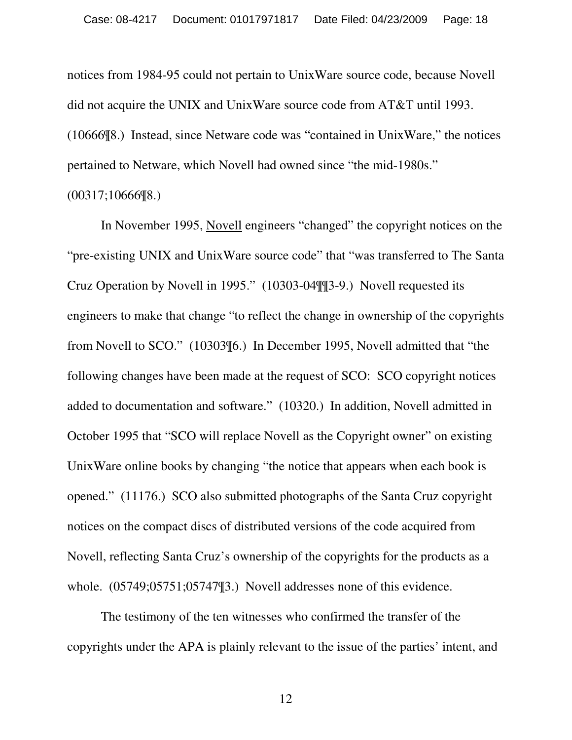notices from 1984-95 could not pertain to UnixWare source code, because Novell did not acquire the UNIX and UnixWare source code from AT&T until 1993. (10666¶8.) Instead, since Netware code was "contained in UnixWare," the notices pertained to Netware, which Novell had owned since "the mid-1980s." (00317;10666¶8.)

In November 1995, Novell engineers "changed" the copyright notices on the "pre-existing UNIX and UnixWare source code" that "was transferred to The Santa Cruz Operation by Novell in 1995." (10303-04¶¶3-9.) Novell requested its engineers to make that change "to reflect the change in ownership of the copyrights from Novell to SCO." (10303¶6.) In December 1995, Novell admitted that "the following changes have been made at the request of SCO: SCO copyright notices added to documentation and software." (10320.) In addition, Novell admitted in October 1995 that "SCO will replace Novell as the Copyright owner" on existing UnixWare online books by changing "the notice that appears when each book is opened." (11176.) SCO also submitted photographs of the Santa Cruz copyright notices on the compact discs of distributed versions of the code acquired from Novell, reflecting Santa Cruz's ownership of the copyrights for the products as a whole. (05749;05751;05747¶3.) Novell addresses none of this evidence.

The testimony of the ten witnesses who confirmed the transfer of the copyrights under the APA is plainly relevant to the issue of the parties' intent, and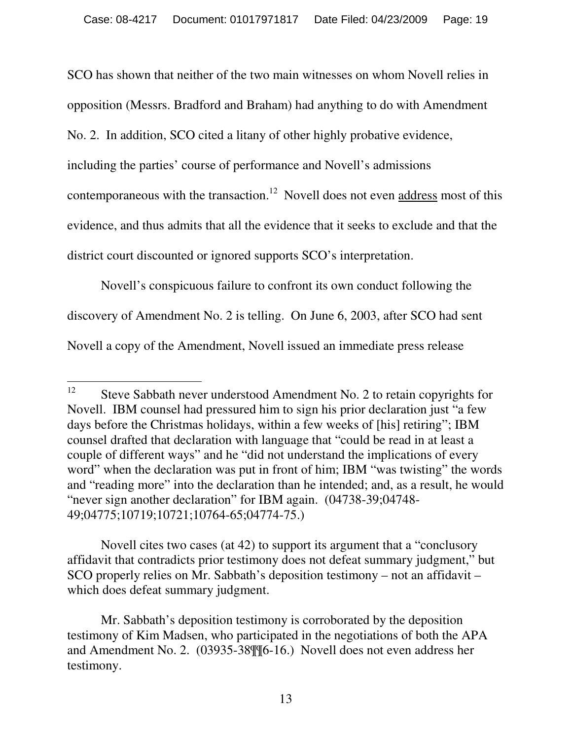SCO has shown that neither of the two main witnesses on whom Novell relies in opposition (Messrs. Bradford and Braham) had anything to do with Amendment No. 2. In addition, SCO cited a litany of other highly probative evidence, including the parties' course of performance and Novell's admissions contemporaneous with the transaction.<sup>12</sup> Novell does not even address most of this evidence, and thus admits that all the evidence that it seeks to exclude and that the district court discounted or ignored supports SCO's interpretation.

Novell's conspicuous failure to confront its own conduct following the discovery of Amendment No. 2 is telling. On June 6, 2003, after SCO had sent Novell a copy of the Amendment, Novell issued an immediate press release

Novell cites two cases (at 42) to support its argument that a "conclusory affidavit that contradicts prior testimony does not defeat summary judgment," but SCO properly relies on Mr. Sabbath's deposition testimony – not an affidavit – which does defeat summary judgment.

<sup>12</sup> Steve Sabbath never understood Amendment No. 2 to retain copyrights for Novell. IBM counsel had pressured him to sign his prior declaration just "a few days before the Christmas holidays, within a few weeks of [his] retiring"; IBM counsel drafted that declaration with language that "could be read in at least a couple of different ways" and he "did not understand the implications of every word" when the declaration was put in front of him; IBM "was twisting" the words and "reading more" into the declaration than he intended; and, as a result, he would "never sign another declaration" for IBM again. (04738-39;04748- 49;04775;10719;10721;10764-65;04774-75.)

Mr. Sabbath's deposition testimony is corroborated by the deposition testimony of Kim Madsen, who participated in the negotiations of both the APA and Amendment No. 2. (03935-38¶¶6-16.) Novell does not even address her testimony.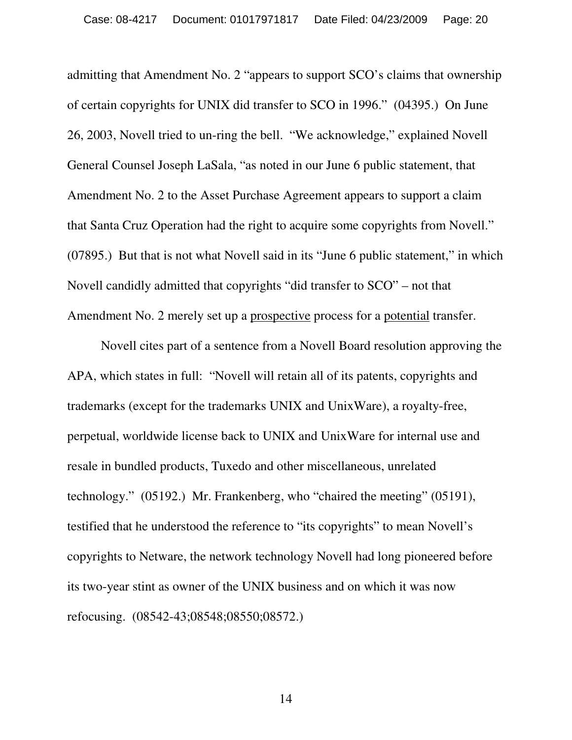admitting that Amendment No. 2 "appears to support SCO's claims that ownership of certain copyrights for UNIX did transfer to SCO in 1996." (04395.) On June 26, 2003, Novell tried to un-ring the bell. "We acknowledge," explained Novell General Counsel Joseph LaSala, "as noted in our June 6 public statement, that Amendment No. 2 to the Asset Purchase Agreement appears to support a claim that Santa Cruz Operation had the right to acquire some copyrights from Novell." (07895.) But that is not what Novell said in its "June 6 public statement," in which Novell candidly admitted that copyrights "did transfer to SCO" – not that Amendment No. 2 merely set up a prospective process for a potential transfer.

Novell cites part of a sentence from a Novell Board resolution approving the APA, which states in full: "Novell will retain all of its patents, copyrights and trademarks (except for the trademarks UNIX and UnixWare), a royalty-free, perpetual, worldwide license back to UNIX and UnixWare for internal use and resale in bundled products, Tuxedo and other miscellaneous, unrelated technology." (05192.) Mr. Frankenberg, who "chaired the meeting" (05191), testified that he understood the reference to "its copyrights" to mean Novell's copyrights to Netware, the network technology Novell had long pioneered before its two-year stint as owner of the UNIX business and on which it was now refocusing. (08542-43;08548;08550;08572.)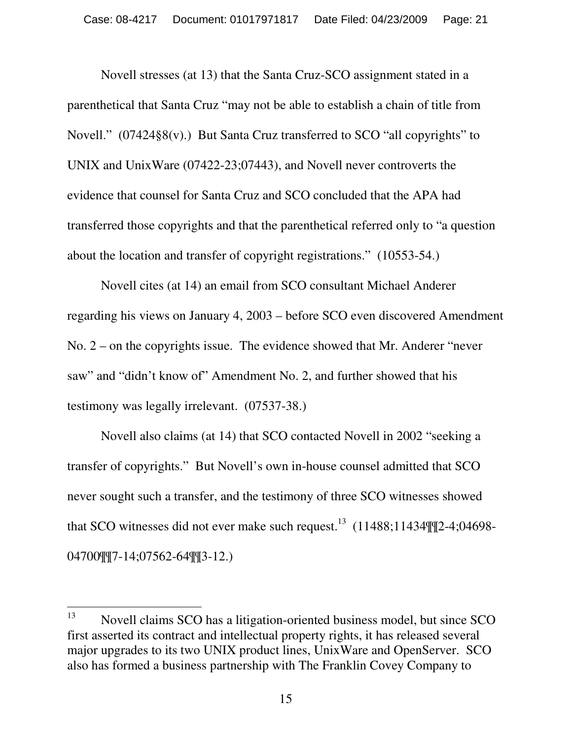Novell stresses (at 13) that the Santa Cruz-SCO assignment stated in a parenthetical that Santa Cruz "may not be able to establish a chain of title from Novell." (07424§8(v).) But Santa Cruz transferred to SCO "all copyrights" to UNIX and UnixWare (07422-23;07443), and Novell never controverts the evidence that counsel for Santa Cruz and SCO concluded that the APA had transferred those copyrights and that the parenthetical referred only to "a question about the location and transfer of copyright registrations." (10553-54.)

Novell cites (at 14) an email from SCO consultant Michael Anderer regarding his views on January 4, 2003 – before SCO even discovered Amendment No. 2 – on the copyrights issue. The evidence showed that Mr. Anderer "never saw" and "didn't know of" Amendment No. 2, and further showed that his testimony was legally irrelevant. (07537-38.)

Novell also claims (at 14) that SCO contacted Novell in 2002 "seeking a transfer of copyrights." But Novell's own in-house counsel admitted that SCO never sought such a transfer, and the testimony of three SCO witnesses showed that SCO witnesses did not ever make such request.<sup>13</sup> (11488;11434 $\P$  $\P$ 2-4;04698-04700¶¶7-14;07562-64¶¶3-12.)

<sup>13</sup> <sup>13</sup> Novell claims SCO has a litigation-oriented business model, but since SCO first asserted its contract and intellectual property rights, it has released several major upgrades to its two UNIX product lines, UnixWare and OpenServer. SCO also has formed a business partnership with The Franklin Covey Company to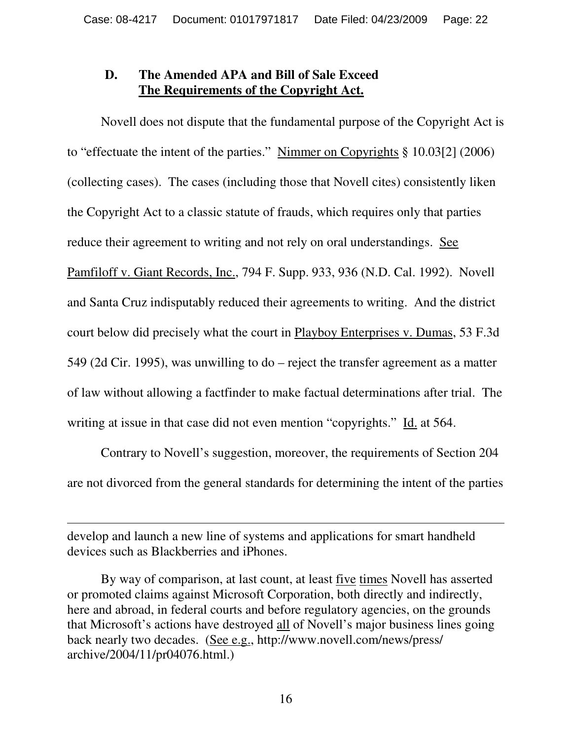#### **D. The Amended APA and Bill of Sale Exceed The Requirements of the Copyright Act.**

Novell does not dispute that the fundamental purpose of the Copyright Act is to "effectuate the intent of the parties." Nimmer on Copyrights § 10.03[2] (2006) (collecting cases). The cases (including those that Novell cites) consistently liken the Copyright Act to a classic statute of frauds, which requires only that parties reduce their agreement to writing and not rely on oral understandings. See Pamfiloff v. Giant Records, Inc., 794 F. Supp. 933, 936 (N.D. Cal. 1992). Novell and Santa Cruz indisputably reduced their agreements to writing. And the district court below did precisely what the court in Playboy Enterprises v. Dumas, 53 F.3d 549 (2d Cir. 1995), was unwilling to do – reject the transfer agreement as a matter of law without allowing a factfinder to make factual determinations after trial. The writing at issue in that case did not even mention "copyrights." Id. at 564.

Contrary to Novell's suggestion, moreover, the requirements of Section 204 are not divorced from the general standards for determining the intent of the parties

develop and launch a new line of systems and applications for smart handheld devices such as Blackberries and iPhones.

 $\overline{a}$ 

 By way of comparison, at last count, at least five times Novell has asserted or promoted claims against Microsoft Corporation, both directly and indirectly, here and abroad, in federal courts and before regulatory agencies, on the grounds that Microsoft's actions have destroyed all of Novell's major business lines going back nearly two decades. (See e.g., http://www.novell.com/news/press/ archive/2004/11/pr04076.html.)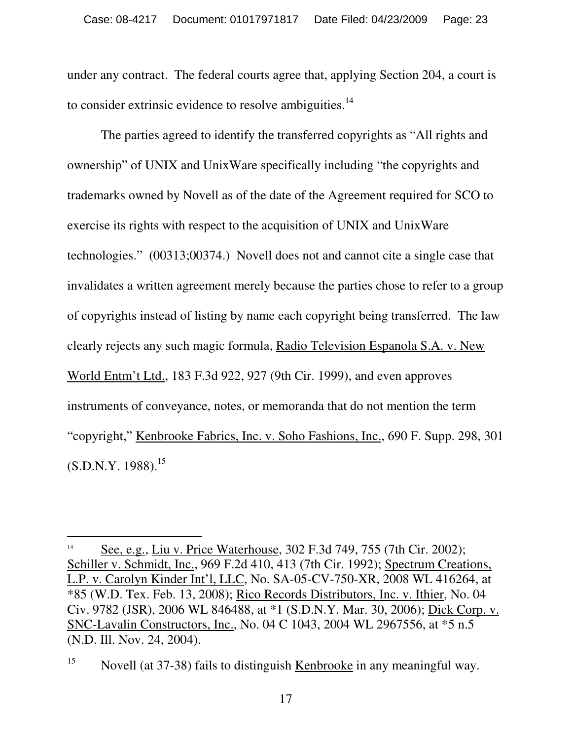under any contract. The federal courts agree that, applying Section 204, a court is to consider extrinsic evidence to resolve ambiguities. $14$ 

The parties agreed to identify the transferred copyrights as "All rights and ownership" of UNIX and UnixWare specifically including "the copyrights and trademarks owned by Novell as of the date of the Agreement required for SCO to exercise its rights with respect to the acquisition of UNIX and UnixWare technologies." (00313;00374.) Novell does not and cannot cite a single case that invalidates a written agreement merely because the parties chose to refer to a group of copyrights instead of listing by name each copyright being transferred. The law clearly rejects any such magic formula, Radio Television Espanola S.A. v. New World Entm't Ltd., 183 F.3d 922, 927 (9th Cir. 1999), and even approves instruments of conveyance, notes, or memoranda that do not mention the term "copyright," Kenbrooke Fabrics, Inc. v. Soho Fashions, Inc., 690 F. Supp. 298, 301  $(S.D.N.Y. 1988).$ <sup>15</sup>

 $\overline{a}$ 

<sup>14</sup> See, e.g., Liu v. Price Waterhouse, 302 F.3d 749, 755 (7th Cir. 2002); Schiller v. Schmidt, Inc., 969 F.2d 410, 413 (7th Cir. 1992); Spectrum Creations, L.P. v. Carolyn Kinder Int'l, LLC, No. SA-05-CV-750-XR, 2008 WL 416264, at \*85 (W.D. Tex. Feb. 13, 2008); Rico Records Distributors, Inc. v. Ithier, No. 04 Civ. 9782 (JSR), 2006 WL 846488, at \*1 (S.D.N.Y. Mar. 30, 2006); Dick Corp. v. SNC-Lavalin Constructors, Inc., No. 04 C 1043, 2004 WL 2967556, at \*5 n.5 (N.D. Ill. Nov. 24, 2004).

<sup>&</sup>lt;sup>15</sup> Novell (at 37-38) fails to distinguish Kenbrooke in any meaningful way.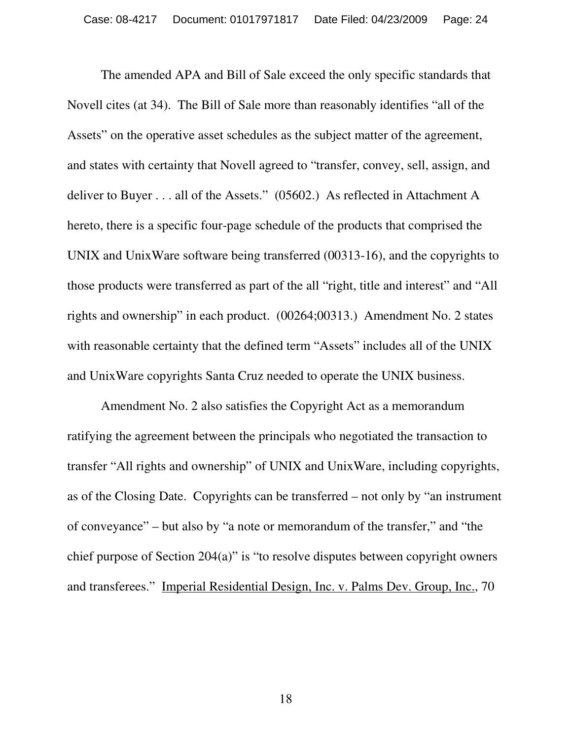The amended APA and Bill of Sale exceed the only specific standards that Novell cites (at 34). The Bill of Sale more than reasonably identifies "all of the Assets" on the operative asset schedules as the subject matter of the agreement, and states with certainty that Novell agreed to "transfer, convey, sell, assign, and deliver to Buyer . . . all of the Assets." (05602.) As reflected in Attachment A hereto, there is a specific four-page schedule of the products that comprised the UNIX and UnixWare software being transferred (00313-16), and the copyrights to those products were transferred as part of the all "right, title and interest" and "All rights and ownership" in each product. (00264;00313.) Amendment No. 2 states with reasonable certainty that the defined term "Assets" includes all of the UNIX and UnixWare copyrights Santa Cruz needed to operate the UNIX business.

Amendment No. 2 also satisfies the Copyright Act as a memorandum ratifying the agreement between the principals who negotiated the transaction to transfer "All rights and ownership" of UNIX and UnixWare, including copyrights, as of the Closing Date. Copyrights can be transferred – not only by "an instrument of conveyance" – but also by "a note or memorandum of the transfer," and "the chief purpose of Section 204(a)" is "to resolve disputes between copyright owners and transferees." Imperial Residential Design, Inc. v. Palms Dev. Group, Inc., 70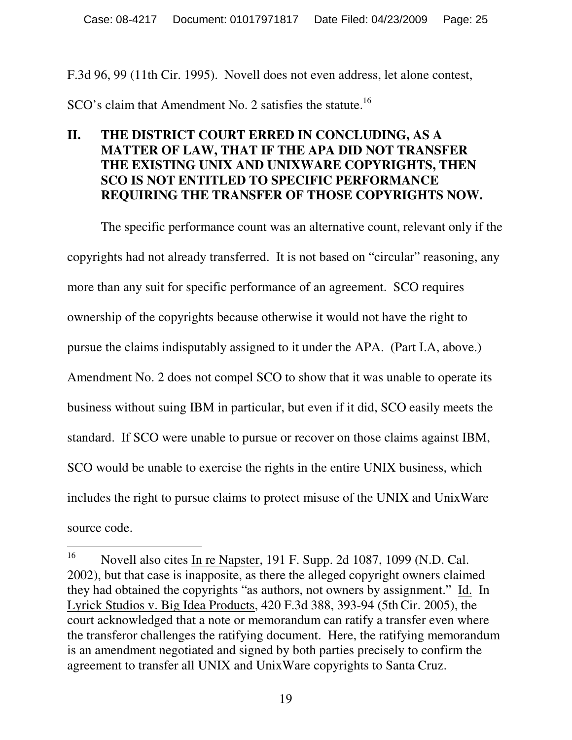F.3d 96, 99 (11th Cir. 1995). Novell does not even address, let alone contest,

 $SCO's claim that Amendment No. 2 satisfies the statue.<sup>16</sup>$ 

#### **II. THE DISTRICT COURT ERRED IN CONCLUDING, AS A MATTER OF LAW, THAT IF THE APA DID NOT TRANSFER THE EXISTING UNIX AND UNIXWARE COPYRIGHTS, THEN SCO IS NOT ENTITLED TO SPECIFIC PERFORMANCE REQUIRING THE TRANSFER OF THOSE COPYRIGHTS NOW.**

The specific performance count was an alternative count, relevant only if the copyrights had not already transferred. It is not based on "circular" reasoning, any more than any suit for specific performance of an agreement. SCO requires ownership of the copyrights because otherwise it would not have the right to pursue the claims indisputably assigned to it under the APA. (Part I.A, above.) Amendment No. 2 does not compel SCO to show that it was unable to operate its business without suing IBM in particular, but even if it did, SCO easily meets the standard. If SCO were unable to pursue or recover on those claims against IBM, SCO would be unable to exercise the rights in the entire UNIX business, which includes the right to pursue claims to protect misuse of the UNIX and UnixWare source code.

<sup>16</sup> <sup>16</sup> Novell also cites In re Napster, 191 F. Supp. 2d 1087, 1099 (N.D. Cal. 2002), but that case is inapposite, as there the alleged copyright owners claimed they had obtained the copyrights "as authors, not owners by assignment." Id. In Lyrick Studios v. Big Idea Products, 420 F.3d 388, 393-94 (5thCir. 2005), the court acknowledged that a note or memorandum can ratify a transfer even where the transferor challenges the ratifying document. Here, the ratifying memorandum is an amendment negotiated and signed by both parties precisely to confirm the agreement to transfer all UNIX and UnixWare copyrights to Santa Cruz.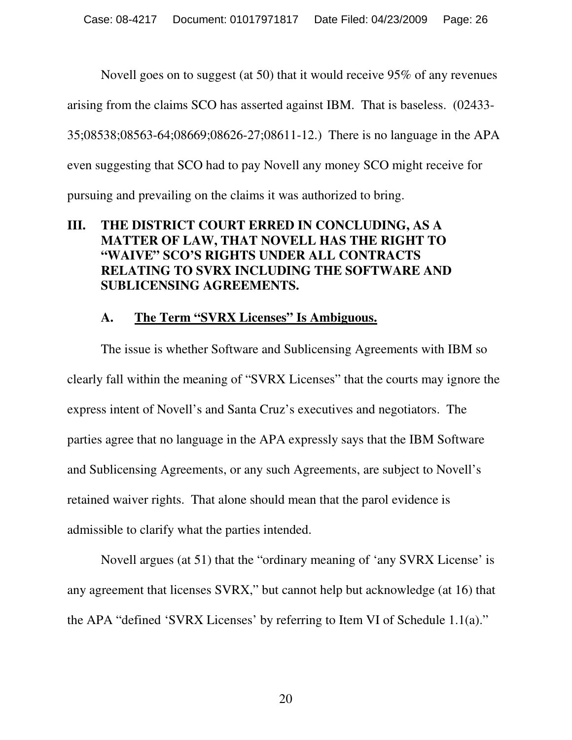Novell goes on to suggest (at 50) that it would receive 95% of any revenues

arising from the claims SCO has asserted against IBM. That is baseless. (02433-

35;08538;08563-64;08669;08626-27;08611-12.) There is no language in the APA

even suggesting that SCO had to pay Novell any money SCO might receive for

pursuing and prevailing on the claims it was authorized to bring.

#### **III. THE DISTRICT COURT ERRED IN CONCLUDING, AS A MATTER OF LAW, THAT NOVELL HAS THE RIGHT TO "WAIVE" SCO'S RIGHTS UNDER ALL CONTRACTS RELATING TO SVRX INCLUDING THE SOFTWARE AND SUBLICENSING AGREEMENTS.**

#### **A. The Term "SVRX Licenses" Is Ambiguous.**

The issue is whether Software and Sublicensing Agreements with IBM so clearly fall within the meaning of "SVRX Licenses" that the courts may ignore the express intent of Novell's and Santa Cruz's executives and negotiators. The parties agree that no language in the APA expressly says that the IBM Software and Sublicensing Agreements, or any such Agreements, are subject to Novell's retained waiver rights. That alone should mean that the parol evidence is admissible to clarify what the parties intended.

Novell argues (at 51) that the "ordinary meaning of 'any SVRX License' is any agreement that licenses SVRX," but cannot help but acknowledge (at 16) that the APA "defined 'SVRX Licenses' by referring to Item VI of Schedule 1.1(a)."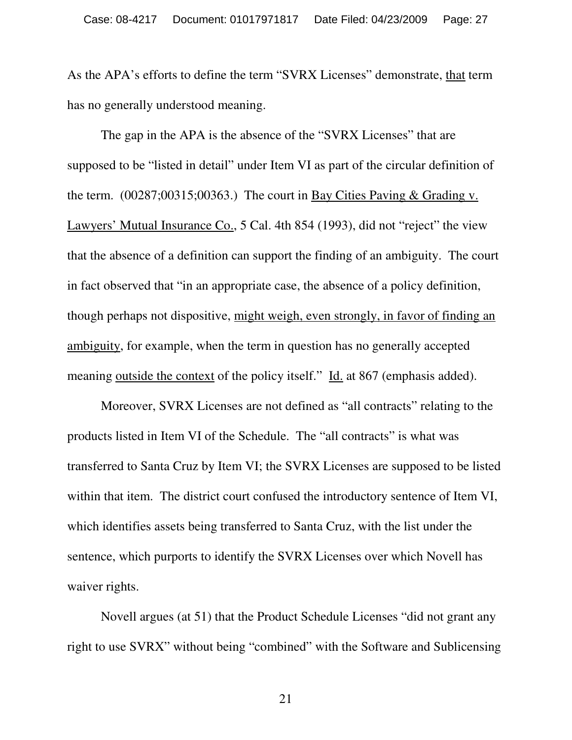As the APA's efforts to define the term "SVRX Licenses" demonstrate, that term has no generally understood meaning.

The gap in the APA is the absence of the "SVRX Licenses" that are supposed to be "listed in detail" under Item VI as part of the circular definition of the term. (00287;00315;00363.) The court in Bay Cities Paving & Grading v. Lawyers' Mutual Insurance Co., 5 Cal. 4th 854 (1993), did not "reject" the view that the absence of a definition can support the finding of an ambiguity. The court in fact observed that "in an appropriate case, the absence of a policy definition, though perhaps not dispositive, might weigh, even strongly, in favor of finding an ambiguity, for example, when the term in question has no generally accepted meaning outside the context of the policy itself." Id. at 867 (emphasis added).

Moreover, SVRX Licenses are not defined as "all contracts" relating to the products listed in Item VI of the Schedule. The "all contracts" is what was transferred to Santa Cruz by Item VI; the SVRX Licenses are supposed to be listed within that item. The district court confused the introductory sentence of Item VI, which identifies assets being transferred to Santa Cruz, with the list under the sentence, which purports to identify the SVRX Licenses over which Novell has waiver rights.

Novell argues (at 51) that the Product Schedule Licenses "did not grant any right to use SVRX" without being "combined" with the Software and Sublicensing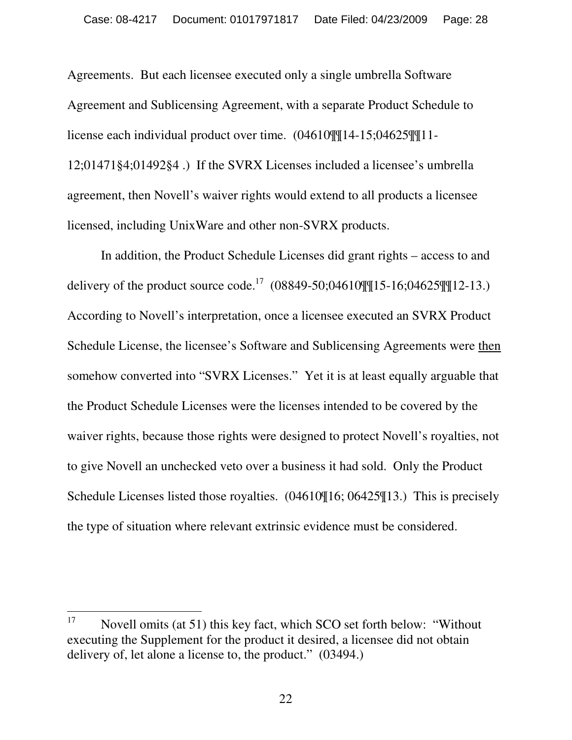Agreements. But each licensee executed only a single umbrella Software Agreement and Sublicensing Agreement, with a separate Product Schedule to license each individual product over time. (04610¶¶14-15;04625¶¶11- 12;01471§4;01492§4 .) If the SVRX Licenses included a licensee's umbrella agreement, then Novell's waiver rights would extend to all products a licensee licensed, including UnixWare and other non-SVRX products.

In addition, the Product Schedule Licenses did grant rights – access to and delivery of the product source code.<sup>17</sup>  $(08849-50;04610$ ][15-16;04625][12-13.) According to Novell's interpretation, once a licensee executed an SVRX Product Schedule License, the licensee's Software and Sublicensing Agreements were then somehow converted into "SVRX Licenses." Yet it is at least equally arguable that the Product Schedule Licenses were the licenses intended to be covered by the waiver rights, because those rights were designed to protect Novell's royalties, not to give Novell an unchecked veto over a business it had sold. Only the Product Schedule Licenses listed those royalties. (04610¶16; 06425¶13.) This is precisely the type of situation where relevant extrinsic evidence must be considered.

<sup>17</sup> Novell omits (at 51) this key fact, which SCO set forth below: "Without" executing the Supplement for the product it desired, a licensee did not obtain delivery of, let alone a license to, the product." (03494.)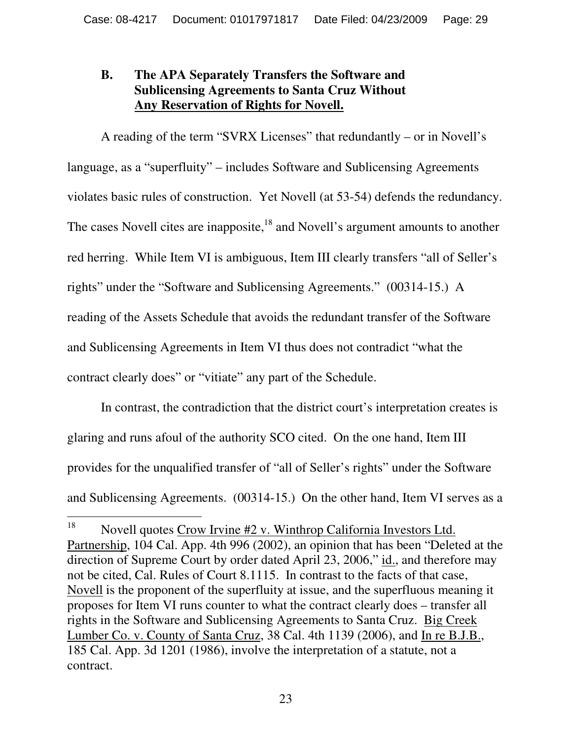#### **B. The APA Separately Transfers the Software and Sublicensing Agreements to Santa Cruz Without Any Reservation of Rights for Novell.**

A reading of the term "SVRX Licenses" that redundantly – or in Novell's language, as a "superfluity" – includes Software and Sublicensing Agreements violates basic rules of construction. Yet Novell (at 53-54) defends the redundancy. The cases Novell cites are inapposite,<sup>18</sup> and Novell's argument amounts to another red herring. While Item VI is ambiguous, Item III clearly transfers "all of Seller's rights" under the "Software and Sublicensing Agreements." (00314-15.) A reading of the Assets Schedule that avoids the redundant transfer of the Software and Sublicensing Agreements in Item VI thus does not contradict "what the contract clearly does" or "vitiate" any part of the Schedule.

In contrast, the contradiction that the district court's interpretation creates is glaring and runs afoul of the authority SCO cited. On the one hand, Item III provides for the unqualified transfer of "all of Seller's rights" under the Software and Sublicensing Agreements. (00314-15.) On the other hand, Item VI serves as a

<sup>18</sup> Novell quotes Crow Irvine #2 v. Winthrop California Investors Ltd. Partnership, 104 Cal. App. 4th 996 (2002), an opinion that has been "Deleted at the direction of Supreme Court by order dated April 23, 2006," id., and therefore may not be cited, Cal. Rules of Court 8.1115. In contrast to the facts of that case, Novell is the proponent of the superfluity at issue, and the superfluous meaning it proposes for Item VI runs counter to what the contract clearly does – transfer all rights in the Software and Sublicensing Agreements to Santa Cruz. Big Creek Lumber Co. v. County of Santa Cruz, 38 Cal. 4th 1139 (2006), and In re B.J.B., 185 Cal. App. 3d 1201 (1986), involve the interpretation of a statute, not a contract.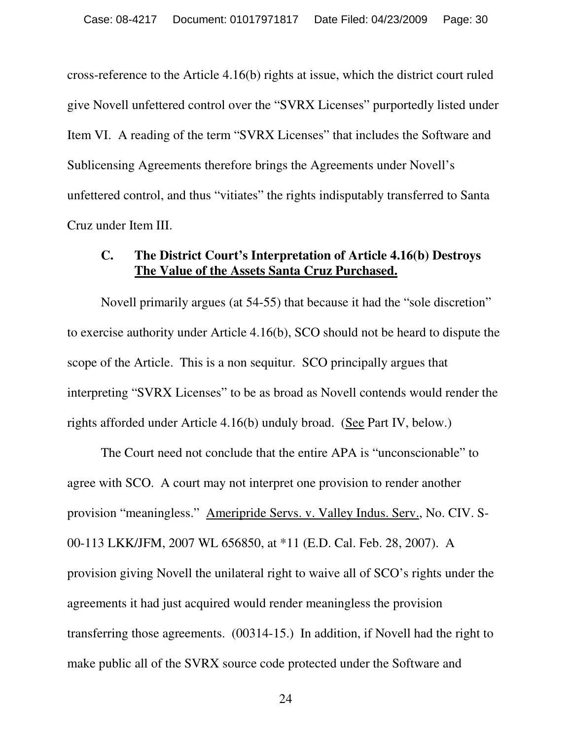cross-reference to the Article 4.16(b) rights at issue, which the district court ruled give Novell unfettered control over the "SVRX Licenses" purportedly listed under Item VI. A reading of the term "SVRX Licenses" that includes the Software and Sublicensing Agreements therefore brings the Agreements under Novell's unfettered control, and thus "vitiates" the rights indisputably transferred to Santa Cruz under Item III.

#### **C. The District Court's Interpretation of Article 4.16(b) Destroys The Value of the Assets Santa Cruz Purchased.**

Novell primarily argues (at 54-55) that because it had the "sole discretion" to exercise authority under Article 4.16(b), SCO should not be heard to dispute the scope of the Article. This is a non sequitur. SCO principally argues that interpreting "SVRX Licenses" to be as broad as Novell contends would render the rights afforded under Article 4.16(b) unduly broad. (See Part IV, below.)

The Court need not conclude that the entire APA is "unconscionable" to agree with SCO. A court may not interpret one provision to render another provision "meaningless." Ameripride Servs. v. Valley Indus. Serv., No. CIV. S-00-113 LKK/JFM, 2007 WL 656850, at \*11 (E.D. Cal. Feb. 28, 2007). A provision giving Novell the unilateral right to waive all of SCO's rights under the agreements it had just acquired would render meaningless the provision transferring those agreements. (00314-15.) In addition, if Novell had the right to make public all of the SVRX source code protected under the Software and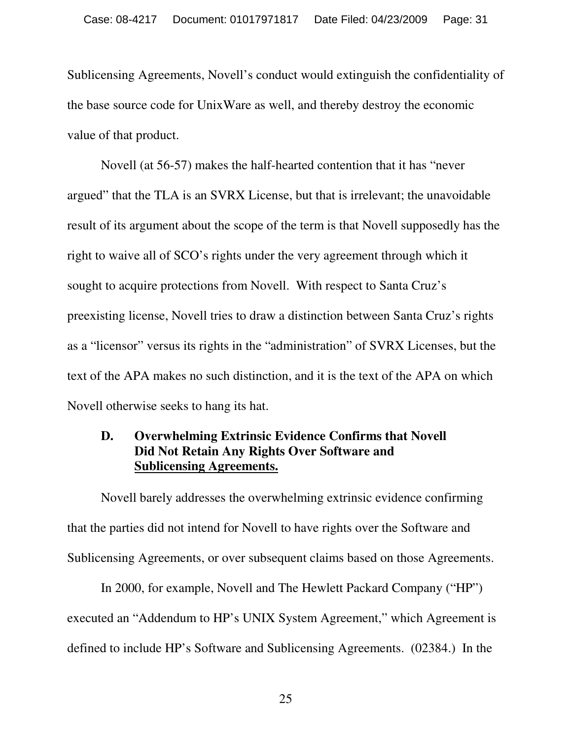Sublicensing Agreements, Novell's conduct would extinguish the confidentiality of the base source code for UnixWare as well, and thereby destroy the economic value of that product.

Novell (at 56-57) makes the half-hearted contention that it has "never argued" that the TLA is an SVRX License, but that is irrelevant; the unavoidable result of its argument about the scope of the term is that Novell supposedly has the right to waive all of SCO's rights under the very agreement through which it sought to acquire protections from Novell. With respect to Santa Cruz's preexisting license, Novell tries to draw a distinction between Santa Cruz's rights as a "licensor" versus its rights in the "administration" of SVRX Licenses, but the text of the APA makes no such distinction, and it is the text of the APA on which Novell otherwise seeks to hang its hat.

#### **D. Overwhelming Extrinsic Evidence Confirms that Novell Did Not Retain Any Rights Over Software and Sublicensing Agreements.**

 Novell barely addresses the overwhelming extrinsic evidence confirming that the parties did not intend for Novell to have rights over the Software and Sublicensing Agreements, or over subsequent claims based on those Agreements.

In 2000, for example, Novell and The Hewlett Packard Company ("HP") executed an "Addendum to HP's UNIX System Agreement," which Agreement is defined to include HP's Software and Sublicensing Agreements. (02384.) In the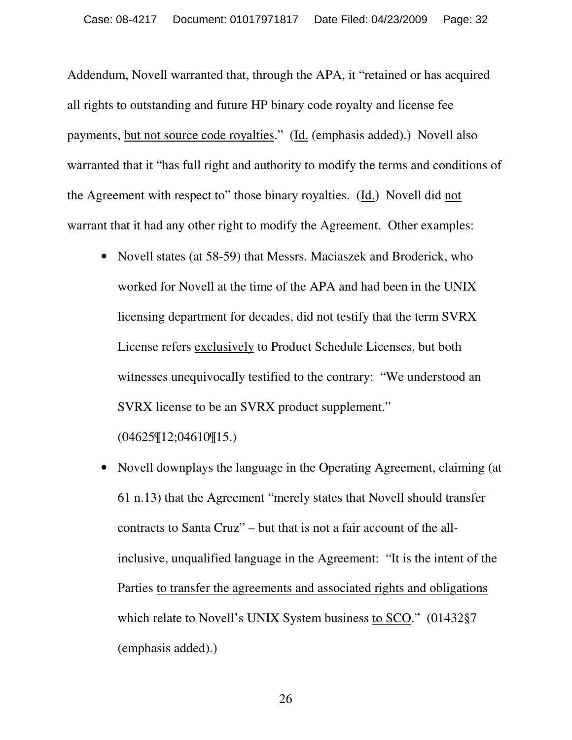Addendum, Novell warranted that, through the APA, it "retained or has acquired all rights to outstanding and future HP binary code royalty and license fee payments, but not source code royalties." (Id. (emphasis added).) Novell also warranted that it "has full right and authority to modify the terms and conditions of the Agreement with respect to" those binary royalties. (Id.) Novell did not warrant that it had any other right to modify the Agreement. Other examples:

- Novell states (at 58-59) that Messrs. Maciaszek and Broderick, who worked for Novell at the time of the APA and had been in the UNIX licensing department for decades, did not testify that the term SVRX License refers exclusively to Product Schedule Licenses, but both witnesses unequivocally testified to the contrary: "We understood an SVRX license to be an SVRX product supplement." (04625¶12;04610¶15.)
- Novell downplays the language in the Operating Agreement, claiming (at 61 n.13) that the Agreement "merely states that Novell should transfer contracts to Santa Cruz" – but that is not a fair account of the allinclusive, unqualified language in the Agreement: "It is the intent of the Parties to transfer the agreements and associated rights and obligations which relate to Novell's UNIX System business to SCO." (01432§7 (emphasis added).)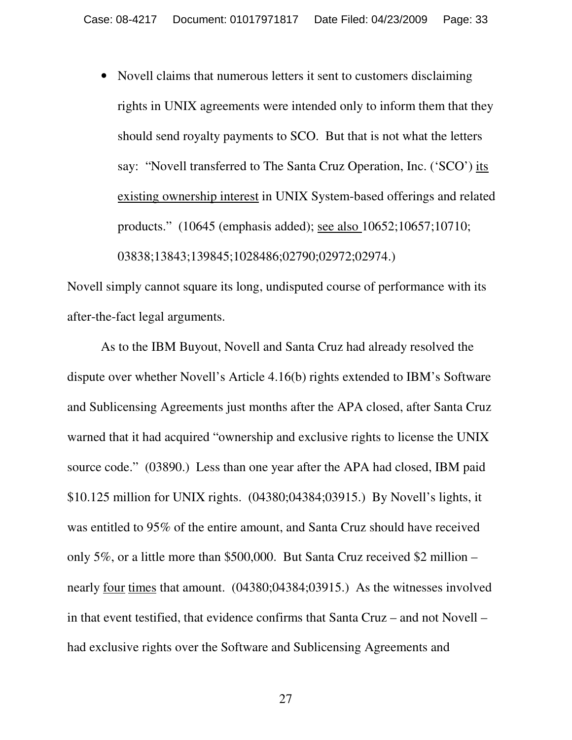• Novell claims that numerous letters it sent to customers disclaiming rights in UNIX agreements were intended only to inform them that they should send royalty payments to SCO. But that is not what the letters say: "Novell transferred to The Santa Cruz Operation, Inc. ('SCO') its existing ownership interest in UNIX System-based offerings and related products." (10645 (emphasis added); see also 10652;10657;10710; 03838;13843;139845;1028486;02790;02972;02974.)

Novell simply cannot square its long, undisputed course of performance with its after-the-fact legal arguments.

As to the IBM Buyout, Novell and Santa Cruz had already resolved the dispute over whether Novell's Article 4.16(b) rights extended to IBM's Software and Sublicensing Agreements just months after the APA closed, after Santa Cruz warned that it had acquired "ownership and exclusive rights to license the UNIX source code." (03890.) Less than one year after the APA had closed, IBM paid \$10.125 million for UNIX rights. (04380;04384;03915.) By Novell's lights, it was entitled to 95% of the entire amount, and Santa Cruz should have received only 5%, or a little more than \$500,000. But Santa Cruz received \$2 million – nearly four times that amount. (04380;04384;03915.) As the witnesses involved in that event testified, that evidence confirms that Santa Cruz – and not Novell – had exclusive rights over the Software and Sublicensing Agreements and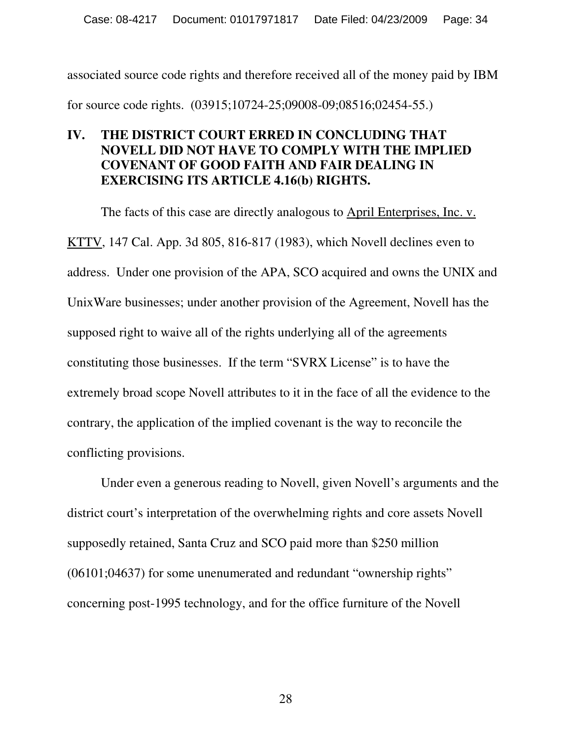associated source code rights and therefore received all of the money paid by IBM for source code rights. (03915;10724-25;09008-09;08516;02454-55.)

#### **IV. THE DISTRICT COURT ERRED IN CONCLUDING THAT NOVELL DID NOT HAVE TO COMPLY WITH THE IMPLIED COVENANT OF GOOD FAITH AND FAIR DEALING IN EXERCISING ITS ARTICLE 4.16(b) RIGHTS.**

The facts of this case are directly analogous to April Enterprises, Inc. v. KTTV, 147 Cal. App. 3d 805, 816-817 (1983), which Novell declines even to address. Under one provision of the APA, SCO acquired and owns the UNIX and UnixWare businesses; under another provision of the Agreement, Novell has the supposed right to waive all of the rights underlying all of the agreements constituting those businesses. If the term "SVRX License" is to have the extremely broad scope Novell attributes to it in the face of all the evidence to the contrary, the application of the implied covenant is the way to reconcile the conflicting provisions.

Under even a generous reading to Novell, given Novell's arguments and the district court's interpretation of the overwhelming rights and core assets Novell supposedly retained, Santa Cruz and SCO paid more than \$250 million (06101;04637) for some unenumerated and redundant "ownership rights" concerning post-1995 technology, and for the office furniture of the Novell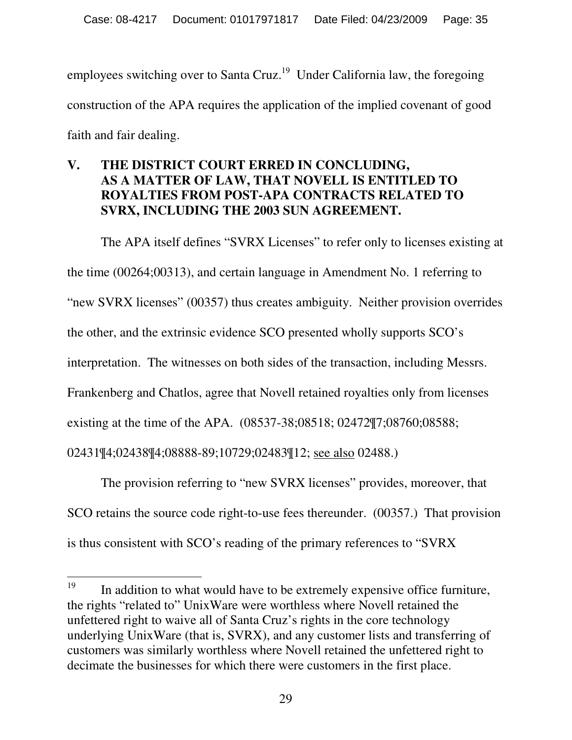employees switching over to Santa Cruz.<sup>19</sup> Under California law, the foregoing construction of the APA requires the application of the implied covenant of good faith and fair dealing.

#### **V. THE DISTRICT COURT ERRED IN CONCLUDING, AS A MATTER OF LAW, THAT NOVELL IS ENTITLED TO ROYALTIES FROM POST-APA CONTRACTS RELATED TO SVRX, INCLUDING THE 2003 SUN AGREEMENT.**

The APA itself defines "SVRX Licenses" to refer only to licenses existing at the time (00264;00313), and certain language in Amendment No. 1 referring to "new SVRX licenses" (00357) thus creates ambiguity. Neither provision overrides the other, and the extrinsic evidence SCO presented wholly supports SCO's interpretation. The witnesses on both sides of the transaction, including Messrs. Frankenberg and Chatlos, agree that Novell retained royalties only from licenses existing at the time of the APA. (08537-38;08518; 02472¶7;08760;08588; 02431¶4;02438¶4;08888-89;10729;02483¶12; see also 02488.)

The provision referring to "new SVRX licenses" provides, moreover, that SCO retains the source code right-to-use fees thereunder. (00357.) That provision is thus consistent with SCO's reading of the primary references to "SVRX

<sup>19</sup> In addition to what would have to be extremely expensive office furniture, the rights "related to" UnixWare were worthless where Novell retained the unfettered right to waive all of Santa Cruz's rights in the core technology underlying UnixWare (that is, SVRX), and any customer lists and transferring of customers was similarly worthless where Novell retained the unfettered right to decimate the businesses for which there were customers in the first place.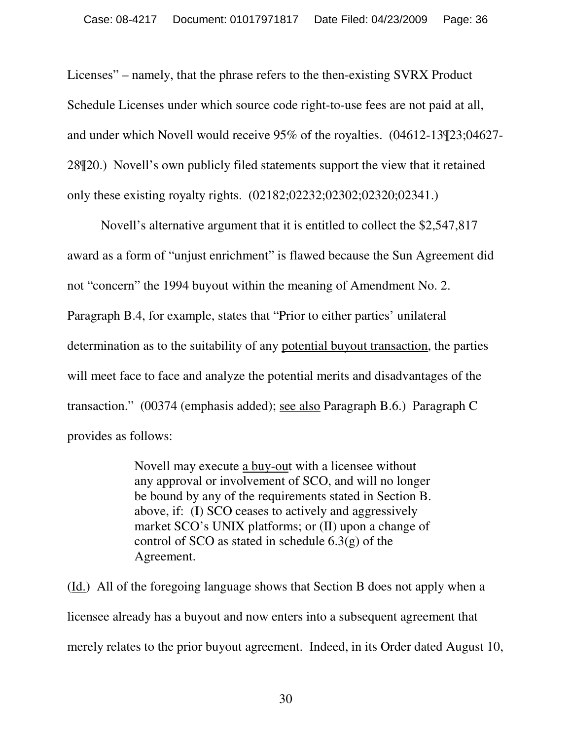Licenses" – namely, that the phrase refers to the then-existing SVRX Product Schedule Licenses under which source code right-to-use fees are not paid at all, and under which Novell would receive 95% of the royalties. (04612-13¶23;04627- 28¶20.) Novell's own publicly filed statements support the view that it retained only these existing royalty rights. (02182;02232;02302;02320;02341.)

 Novell's alternative argument that it is entitled to collect the \$2,547,817 award as a form of "unjust enrichment" is flawed because the Sun Agreement did not "concern" the 1994 buyout within the meaning of Amendment No. 2. Paragraph B.4, for example, states that "Prior to either parties' unilateral determination as to the suitability of any potential buyout transaction, the parties will meet face to face and analyze the potential merits and disadvantages of the transaction." (00374 (emphasis added); see also Paragraph B.6.) Paragraph C provides as follows:

> Novell may execute a buy-out with a licensee without any approval or involvement of SCO, and will no longer be bound by any of the requirements stated in Section B. above, if: (I) SCO ceases to actively and aggressively market SCO's UNIX platforms; or (II) upon a change of control of SCO as stated in schedule 6.3(g) of the Agreement.

(Id.) All of the foregoing language shows that Section B does not apply when a licensee already has a buyout and now enters into a subsequent agreement that merely relates to the prior buyout agreement. Indeed, in its Order dated August 10,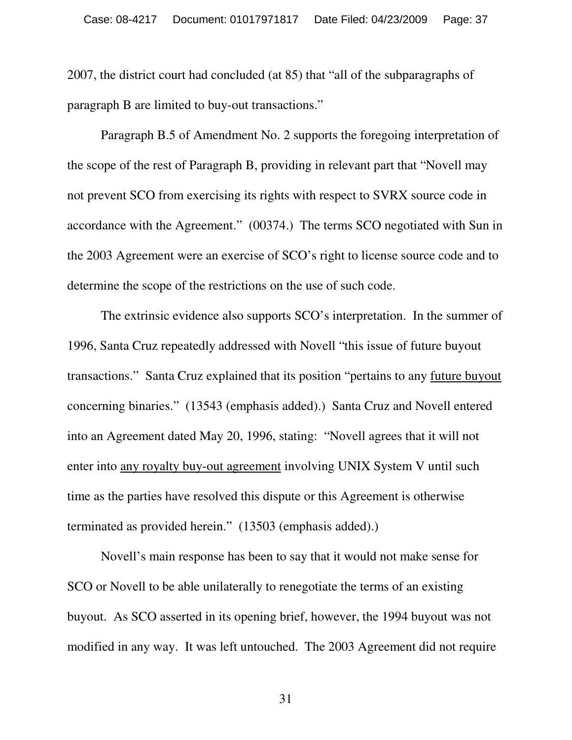2007, the district court had concluded (at 85) that "all of the subparagraphs of paragraph B are limited to buy-out transactions."

 Paragraph B.5 of Amendment No. 2 supports the foregoing interpretation of the scope of the rest of Paragraph B, providing in relevant part that "Novell may not prevent SCO from exercising its rights with respect to SVRX source code in accordance with the Agreement." (00374.) The terms SCO negotiated with Sun in the 2003 Agreement were an exercise of SCO's right to license source code and to determine the scope of the restrictions on the use of such code.

 The extrinsic evidence also supports SCO's interpretation. In the summer of 1996, Santa Cruz repeatedly addressed with Novell "this issue of future buyout transactions." Santa Cruz explained that its position "pertains to any future buyout concerning binaries." (13543 (emphasis added).) Santa Cruz and Novell entered into an Agreement dated May 20, 1996, stating: "Novell agrees that it will not enter into any royalty buy-out agreement involving UNIX System V until such time as the parties have resolved this dispute or this Agreement is otherwise terminated as provided herein." (13503 (emphasis added).)

 Novell's main response has been to say that it would not make sense for SCO or Novell to be able unilaterally to renegotiate the terms of an existing buyout. As SCO asserted in its opening brief, however, the 1994 buyout was not modified in any way. It was left untouched. The 2003 Agreement did not require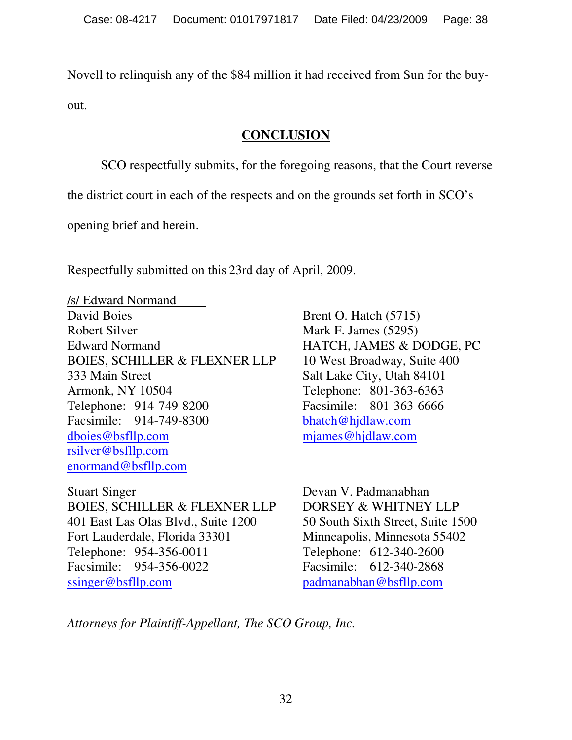Novell to relinquish any of the \$84 million it had received from Sun for the buyout.

#### **CONCLUSION**

SCO respectfully submits, for the foregoing reasons, that the Court reverse

the district court in each of the respects and on the grounds set forth in SCO's

opening brief and herein.

Respectfully submitted on this 23rd day of April, 2009.

/s/ Edward Normand David Boies Brent O. Hatch (5715) Robert Silver Mark F. James (5295) Edward Normand HATCH, JAMES & DODGE, PC BOIES, SCHILLER & FLEXNER LLP 10 West Broadway, Suite 400 333 Main Street Salt Lake City, Utah 84101 Armonk, NY 10504 Telephone: 801-363-6363 Telephone: 914-749-8200 Facsimile: 801-363-6666 Facsimile: 914-749-8300 bhatch@hjdlaw.com dboies@bsfllp.com mjames@hjdlaw.com rsilver@bsfllp.com enormand@bsfllp.com

Stuart Singer Devan V. Padmanabhan BOIES, SCHILLER & FLEXNER LLP DORSEY & WHITNEY LLP 401 East Las Olas Blvd., Suite 1200 50 South Sixth Street, Suite 1500 Fort Lauderdale, Florida 33301 Minneapolis, Minnesota 55402 Telephone: 954-356-0011 Telephone: 612-340-2600 Facsimile: 954-356-0022 Facsimile: 612-340-2868 ssinger@bsfllp.com padmanabhan@bsfllp.com

*Attorneys for Plaintiff-Appellant, The SCO Group, Inc.*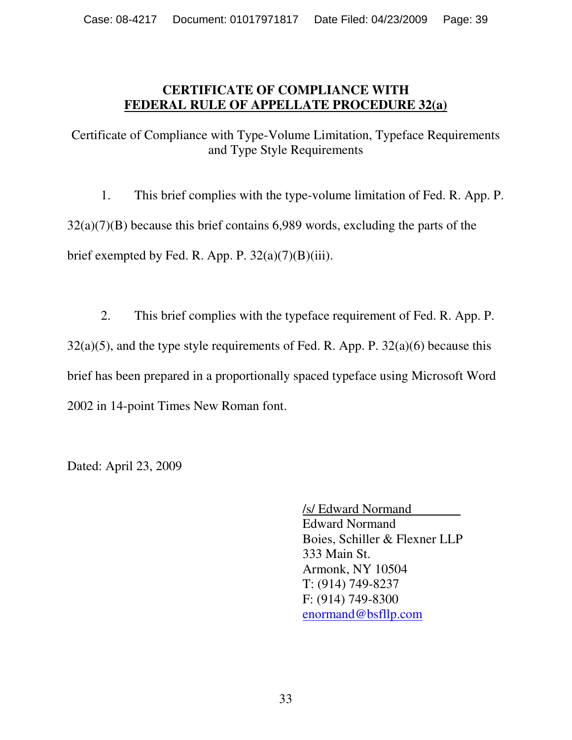#### **CERTIFICATE OF COMPLIANCE WITH FEDERAL RULE OF APPELLATE PROCEDURE 32(a)**

Certificate of Compliance with Type-Volume Limitation, Typeface Requirements and Type Style Requirements

1. This brief complies with the type-volume limitation of Fed. R. App. P. 32(a)(7)(B) because this brief contains 6,989 words, excluding the parts of the brief exempted by Fed. R. App. P.  $32(a)(7)(B)(iii)$ .

2. This brief complies with the typeface requirement of Fed. R. App. P.  $32(a)(5)$ , and the type style requirements of Fed. R. App. P.  $32(a)(6)$  because this brief has been prepared in a proportionally spaced typeface using Microsoft Word 2002 in 14-point Times New Roman font.

Dated: April 23, 2009

/s/ Edward Normand Edward Normand Boies, Schiller & Flexner LLP 333 Main St. Armonk, NY 10504 T: (914) 749-8237 F: (914) 749-8300 enormand@bsfllp.com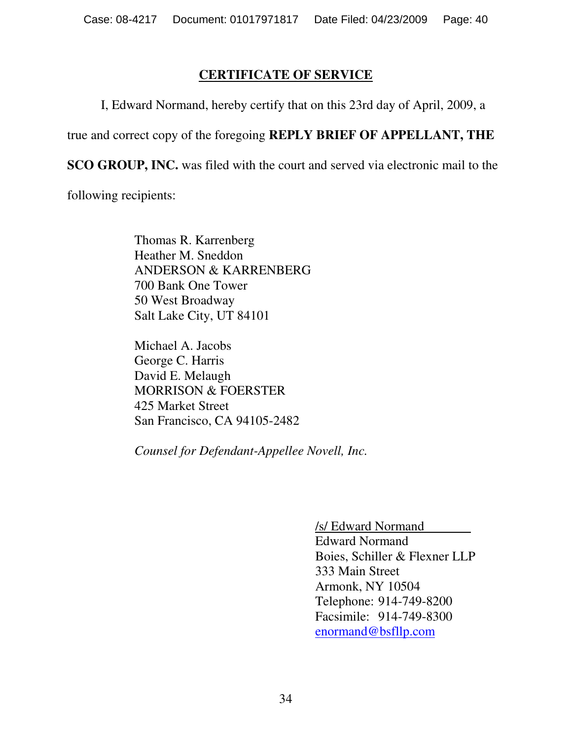#### **CERTIFICATE OF SERVICE**

I, Edward Normand, hereby certify that on this 23rd day of April, 2009, a

true and correct copy of the foregoing **REPLY BRIEF OF APPELLANT, THE** 

**SCO GROUP, INC.** was filed with the court and served via electronic mail to the

following recipients:

Thomas R. Karrenberg Heather M. Sneddon ANDERSON & KARRENBERG 700 Bank One Tower 50 West Broadway Salt Lake City, UT 84101

Michael A. Jacobs George C. Harris David E. Melaugh MORRISON & FOERSTER 425 Market Street San Francisco, CA 94105-2482

*Counsel for Defendant-Appellee Novell, Inc.* 

/s/ Edward Normand

Edward Normand Boies, Schiller & Flexner LLP 333 Main Street Armonk, NY 10504 Telephone: 914-749-8200 Facsimile: 914-749-8300 enormand@bsfllp.com